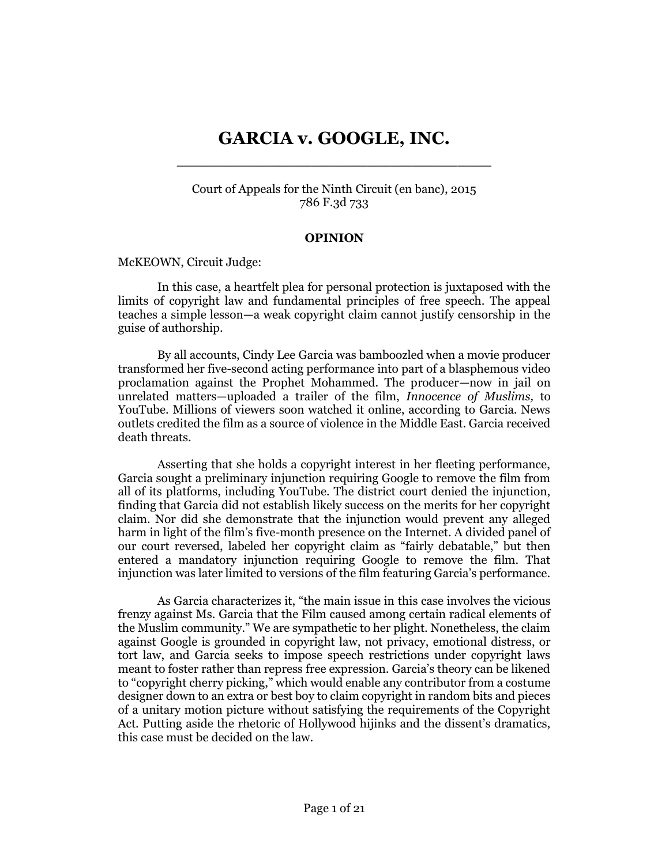# **GARCIA v. GOOGLE, INC.** \_\_\_\_\_\_\_\_\_\_\_\_\_\_\_\_\_\_\_\_\_\_\_\_\_\_\_\_

Court of Appeals for the Ninth Circuit (en banc), 2015 786 F.3d 733

#### **OPINION**

[McKEOWN,](http://www.westlaw.com/Link/Document/FullText?findType=h&pubNum=176284&cite=0125530001&originatingDoc=I51ce6ec9fd5811e4b86bd602cb8781fa&refType=RQ&originationContext=document&vr=3.0&rs=cblt1.0&transitionType=DocumentItem&contextData=(sc.Search)) Circuit Judge:

In this case, a heartfelt plea for personal protection is juxtaposed with the limits of copyright law and fundamental principles of free speech. The appeal teaches a simple lesson—a weak copyright claim cannot justify censorship in the guise of authorship.

By all accounts, Cindy Lee Garcia was bamboozled when a movie producer transformed her five-second acting performance into part of a blasphemous video proclamation against the Prophet Mohammed. The producer—now in jail on unrelated matters—uploaded a trailer of the film, *Innocence of Muslims,* to YouTube. Millions of viewers soon watched it online, according to Garcia. News outlets credited the film as a source of violence in the Middle East. Garcia received death threats.

Asserting that she holds a copyright interest in her fleeting performance, Garcia sought a preliminary injunction requiring Google to remove the film from all of its platforms, including YouTube. The district court denied the injunction, finding that Garcia did not establish likely success on the merits for her copyright claim. Nor did she demonstrate that the injunction would prevent any alleged harm in light of the film's five-month presence on the Internet. A divided panel of our court reversed, labeled her copyright claim as "fairly debatable," but then entered a mandatory injunction requiring Google to remove the film. That injunction was later limited to versions of the film featuring Garcia's performance.

As Garcia characterizes it, "the main issue in this case involves the vicious frenzy against Ms. Garcia that the Film caused among certain radical elements of the Muslim community." We are sympathetic to her plight. Nonetheless, the claim against Google is grounded in copyright law, not privacy, emotional distress, or tort law, and Garcia seeks to impose speech restrictions under copyright laws meant to foster rather than repress free expression. Garcia's theory can be likened to "copyright cherry picking," which would enable any contributor from a costume designer down to an extra or best boy to claim copyright in random bits and pieces of a unitary motion picture without satisfying the requirements of the Copyright Act. Putting aside the rhetoric of Hollywood hijinks and the dissent's dramatics, this case must be decided on the law.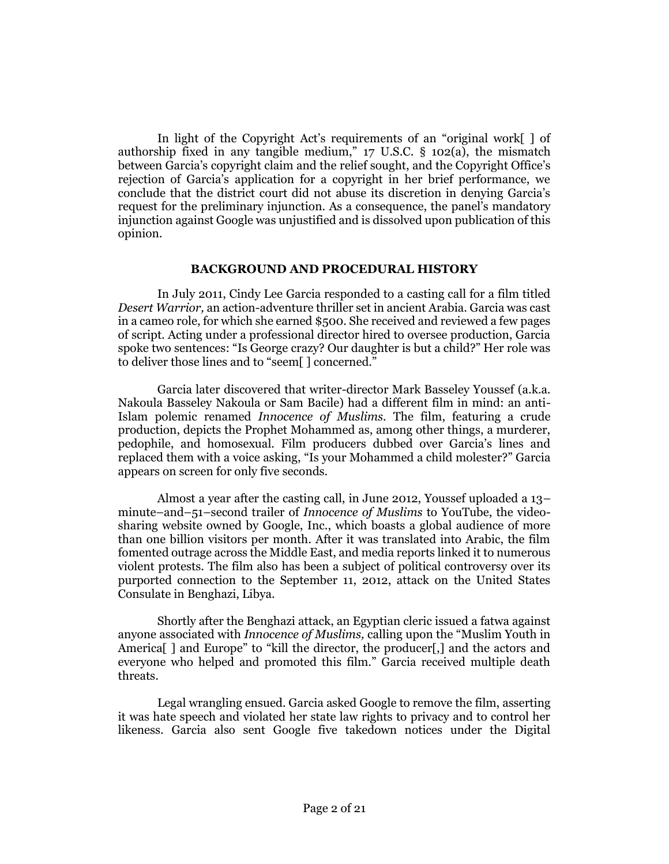In light of the Copyright Act's requirements of an "original work[ ] of authorship fixed in any tangible medium,"  $17 \text{ U.S.C. }$  §  $102(a)$ , the mismatch between Garcia's copyright claim and the relief sought, and the Copyright Office's rejection of Garcia's application for a copyright in her brief performance, we conclude that the district court did not abuse its discretion in denying Garcia's request for the preliminary injunction. As a consequence, the panel's mandatory injunction against Google was unjustified and is dissolved upon publication of this opinion.

### **BACKGROUND AND PROCEDURAL HISTORY**

In July 2011, Cindy Lee Garcia responded to a casting call for a film titled *Desert Warrior,* an action-adventure thriller set in ancient Arabia. Garcia was cast in a cameo role, for which she earned \$500. She received and reviewed a few pages of script. Acting under a professional director hired to oversee production, Garcia spoke two sentences: "Is George crazy? Our daughter is but a child?" Her role was to deliver those lines and to "seem[ ] concerned."

Garcia later discovered that writer-director Mark Basseley Youssef (a.k.a. Nakoula Basseley Nakoula or Sam Bacile) had a different film in mind: an anti-Islam polemic renamed *Innocence of Muslims.* The film, featuring a crude production, depicts the Prophet Mohammed as, among other things, a murderer, pedophile, and homosexual. Film producers dubbed over Garcia's lines and replaced them with a voice asking, "Is your Mohammed a child molester?" Garcia appears on screen for only five seconds.

Almost a year after the casting call, in June 2012, Youssef uploaded a 13– minute–and–51–second trailer of *Innocence of Muslims* to YouTube, the videosharing website owned by Google, Inc., which boasts a global audience of more than one billion visitors per month. After it was translated into Arabic, the film fomented outrage across the Middle East, and media reports linked it to numerous violent protests. The film also has been a subject of political controversy over its purported connection to the September 11, 2012, attack on the United States Consulate in Benghazi, Libya.

Shortly after the Benghazi attack, an Egyptian cleric issued a fatwa against anyone associated with *Innocence of Muslims,* calling upon the "Muslim Youth in America<sup>[]</sup> and Europe" to "kill the director, the producer<sup>[</sup>,] and the actors and everyone who helped and promoted this film." Garcia received multiple death threats.

Legal wrangling ensued. Garcia asked Google to remove the film, asserting it was hate speech and violated her state law rights to privacy and to control her likeness. Garcia also sent Google five takedown notices under the Digital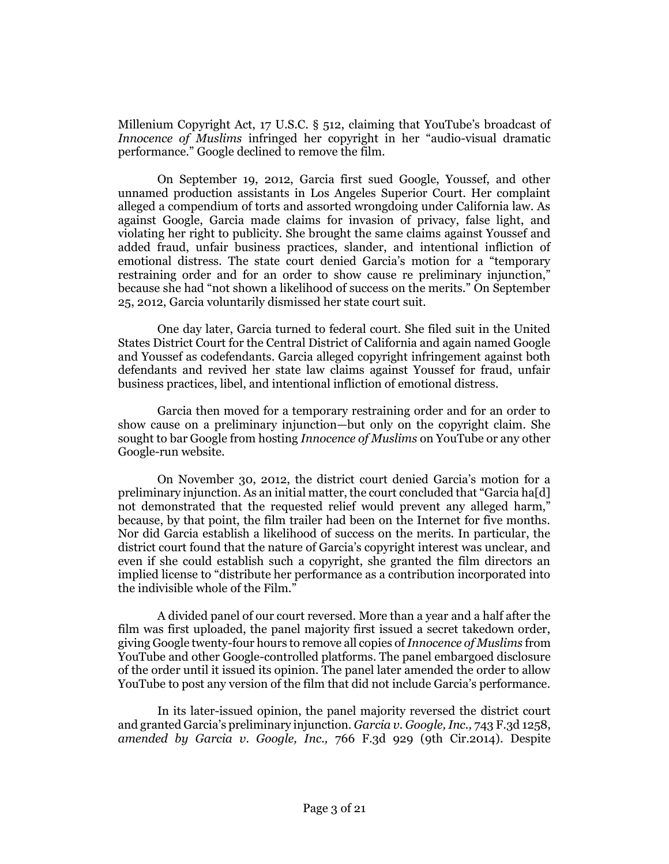Millenium Copyright Act, [17 U.S.C. § 512,](http://www.westlaw.com/Link/Document/FullText?findType=L&pubNum=1000546&cite=17USCAS512&originatingDoc=I51ce6ec9fd5811e4b86bd602cb8781fa&refType=LQ&originationContext=document&vr=3.0&rs=cblt1.0&transitionType=DocumentItem&contextData=(sc.Search)) claiming that YouTube's broadcast of *Innocence of Muslims* infringed her copyright in her "audio-visual dramatic performance." Google declined to remove the film.

On September 19, 2012, Garcia first sued Google, Youssef, and other unnamed production assistants in Los Angeles Superior Court. Her complaint alleged a compendium of torts and assorted wrongdoing under California law. As against Google, Garcia made claims for invasion of privacy, false light, and violating her right to publicity. She brought the same claims against Youssef and added fraud, unfair business practices, slander, and intentional infliction of emotional distress. The state court denied Garcia's motion for a "temporary restraining order and for an order to show cause re preliminary injunction," because she had "not shown a likelihood of success on the merits." On September 25, 2012, Garcia voluntarily dismissed her state court suit.

One day later, Garcia turned to federal court. She filed suit in the United States District Court for the Central District of California and again named Google and Youssef as codefendants. Garcia alleged copyright infringement against both defendants and revived her state law claims against Youssef for fraud, unfair business practices, libel, and intentional infliction of emotional distress.

Garcia then moved for a temporary restraining order and for an order to show cause on a preliminary injunction—but only on the copyright claim. She sought to bar Google from hosting *Innocence of Muslims* on YouTube or any other Google-run website.

On November 30, 2012, the district court denied Garcia's motion for a preliminary injunction. As an initial matter, the court concluded that "Garcia ha[d] not demonstrated that the requested relief would prevent any alleged harm," because, by that point, the film trailer had been on the Internet for five months. Nor did Garcia establish a likelihood of success on the merits. In particular, the district court found that the nature of Garcia's copyright interest was unclear, and even if she could establish such a copyright, she granted the film directors an implied license to "distribute her performance as a contribution incorporated into the indivisible whole of the Film."

A divided panel of our court reversed. More than a year and a half after the film was first uploaded, the panel majority first issued a secret takedown order, giving Google twenty-four hours to remove all copies of *Innocence of Muslims* from YouTube and other Google-controlled platforms. The panel embargoed disclosure of the order until it issued its opinion. The panel later amended the order to allow YouTube to post any version of the film that did not include Garcia's performance.

In its later-issued opinion, the panel majority reversed the district court and granted Garcia's preliminary injunction. *[Garcia v. Google, Inc.,](http://www.westlaw.com/Link/Document/FullText?findType=Y&serNum=2032793296&pubNum=0000506&originatingDoc=I51ce6ec9fd5811e4b86bd602cb8781fa&refType=RP&originationContext=document&vr=3.0&rs=cblt1.0&transitionType=DocumentItem&contextData=(sc.Search))* 743 F.3d 1258, *amended by Garcia v. Google, Inc.,* [766 F.3d 929 \(9th Cir.2014\).](http://www.westlaw.com/Link/Document/FullText?findType=Y&serNum=2033817839&pubNum=0000506&originatingDoc=I51ce6ec9fd5811e4b86bd602cb8781fa&refType=RP&originationContext=document&vr=3.0&rs=cblt1.0&transitionType=DocumentItem&contextData=(sc.Search)) Despite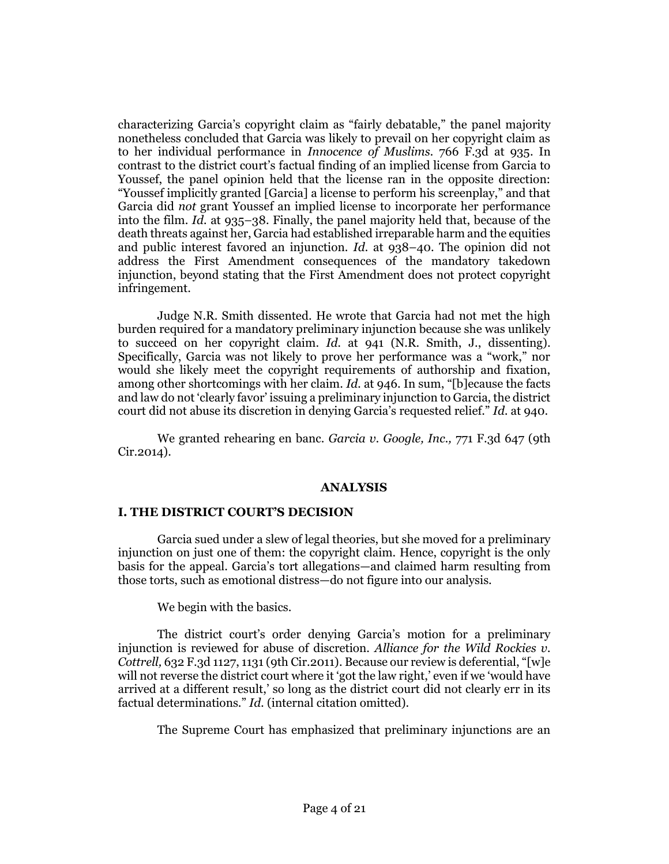characterizing Garcia's copyright claim as "fairly debatable," the panel majority nonetheless concluded that Garcia was likely to prevail on her copyright claim as to her individual performance in *[Innocence of Muslims.](http://www.westlaw.com/Link/Document/FullText?findType=Y&serNum=2033817839&pubNum=0000506&originatingDoc=I51ce6ec9fd5811e4b86bd602cb8781fa&refType=RP&fi=co_pp_sp_506_935&originationContext=document&vr=3.0&rs=cblt1.0&transitionType=DocumentItem&contextData=(sc.Search)#co_pp_sp_506_935)* 766 F.3d at 935. In contrast to the district court's factual finding of an implied license from Garcia to Youssef, the panel opinion held that the license ran in the opposite direction: "Youssef implicitly granted [Garcia] a license to perform his screenplay," and that Garcia did *not* grant Youssef an implied license to incorporate her performance into the film. *Id.* [at 935](http://www.westlaw.com/Link/Document/FullText?findType=Y&serNum=2033817839&pubNum=0000506&originatingDoc=I51ce6ec9fd5811e4b86bd602cb8781fa&refType=RP&fi=co_pp_sp_506_935&originationContext=document&vr=3.0&rs=cblt1.0&transitionType=DocumentItem&contextData=(sc.Search)#co_pp_sp_506_935)–38. Finally, the panel majority held that, because of the death threats against her, Garcia had established irreparable harm and the equities and public interest favored an injunction. *Id.* [at 938](http://www.westlaw.com/Link/Document/FullText?findType=Y&serNum=2033817839&pubNum=0000506&originatingDoc=I51ce6ec9fd5811e4b86bd602cb8781fa&refType=RP&fi=co_pp_sp_506_938&originationContext=document&vr=3.0&rs=cblt1.0&transitionType=DocumentItem&contextData=(sc.Search)#co_pp_sp_506_938)–40. The opinion did not address the First Amendment consequences of the mandatory takedown injunction, beyond stating that the First Amendment does not protect copyright infringement.

Judge N.R. Smith dissented. He wrote that Garcia had not met the high burden required for a mandatory preliminary injunction because she was unlikely to succeed on her copyright claim. *Id.* [at 941](http://www.westlaw.com/Link/Document/FullText?findType=Y&serNum=2033817839&pubNum=0000506&originatingDoc=I51ce6ec9fd5811e4b86bd602cb8781fa&refType=RP&fi=co_pp_sp_506_941&originationContext=document&vr=3.0&rs=cblt1.0&transitionType=DocumentItem&contextData=(sc.Search)#co_pp_sp_506_941) (N.R. Smith, J., dissenting). Specifically, Garcia was not likely to prove her performance was a "work," nor would she likely meet the copyright requirements of authorship and fixation, among other shortcomings with her claim. *Id.* [at 946](http://www.westlaw.com/Link/Document/FullText?findType=Y&serNum=2033817839&pubNum=0000506&originatingDoc=I51ce6ec9fd5811e4b86bd602cb8781fa&refType=RP&fi=co_pp_sp_506_946&originationContext=document&vr=3.0&rs=cblt1.0&transitionType=DocumentItem&contextData=(sc.Search)#co_pp_sp_506_946). In sum, "[b]ecause the facts and law do not 'clearly favor' issuing a preliminary injunction to Garcia, the district court did not abuse its discretion in denying Garcia's requested relief." *Id.* [at 940.](http://www.westlaw.com/Link/Document/FullText?findType=Y&serNum=2033817839&pubNum=0000506&originatingDoc=I51ce6ec9fd5811e4b86bd602cb8781fa&refType=RP&fi=co_pp_sp_506_940&originationContext=document&vr=3.0&rs=cblt1.0&transitionType=DocumentItem&contextData=(sc.Search)#co_pp_sp_506_940)

We granted rehearing en banc. *[Garcia v. Google, Inc.,](http://www.westlaw.com/Link/Document/FullText?findType=Y&serNum=2034765714&pubNum=0000506&originatingDoc=I51ce6ec9fd5811e4b86bd602cb8781fa&refType=RP&originationContext=document&vr=3.0&rs=cblt1.0&transitionType=DocumentItem&contextData=(sc.Search))* 771 F.3d 647 (9th [Cir.2014\).](http://www.westlaw.com/Link/Document/FullText?findType=Y&serNum=2034765714&pubNum=0000506&originatingDoc=I51ce6ec9fd5811e4b86bd602cb8781fa&refType=RP&originationContext=document&vr=3.0&rs=cblt1.0&transitionType=DocumentItem&contextData=(sc.Search))

#### **ANALYSIS**

# **I. THE DISTRICT COURT'S DECISION**

Garcia sued under a slew of legal theories, but she moved for a preliminary injunction on just one of them: the copyright claim. Hence, copyright is the only basis for the appeal. Garcia's tort allegations—and claimed harm resulting from those torts, such as emotional distress—do not figure into our analysis.

We begin with the basics.

The district court's order denying Garcia's motion for a preliminary injunction is reviewed for abuse of discretion. *[Alliance for the Wild Rockies v.](http://www.westlaw.com/Link/Document/FullText?findType=Y&serNum=2024453767&pubNum=0000506&originatingDoc=I51ce6ec9fd5811e4b86bd602cb8781fa&refType=RP&fi=co_pp_sp_506_1131&originationContext=document&vr=3.0&rs=cblt1.0&transitionType=DocumentItem&contextData=(sc.Search)#co_pp_sp_506_1131)  Cottrell,* [632 F.3d 1127, 1131 \(9th Cir.2011\)](http://www.westlaw.com/Link/Document/FullText?findType=Y&serNum=2024453767&pubNum=0000506&originatingDoc=I51ce6ec9fd5811e4b86bd602cb8781fa&refType=RP&fi=co_pp_sp_506_1131&originationContext=document&vr=3.0&rs=cblt1.0&transitionType=DocumentItem&contextData=(sc.Search)#co_pp_sp_506_1131). Because our review is deferential, "[w]e will not reverse the district court where it 'got the law right,' even if we 'would have arrived at a different result,' so long as the district court did not clearly err in its factual determinations." *Id.* (internal citation omitted).

The Supreme Court has emphasized that preliminary injunctions are an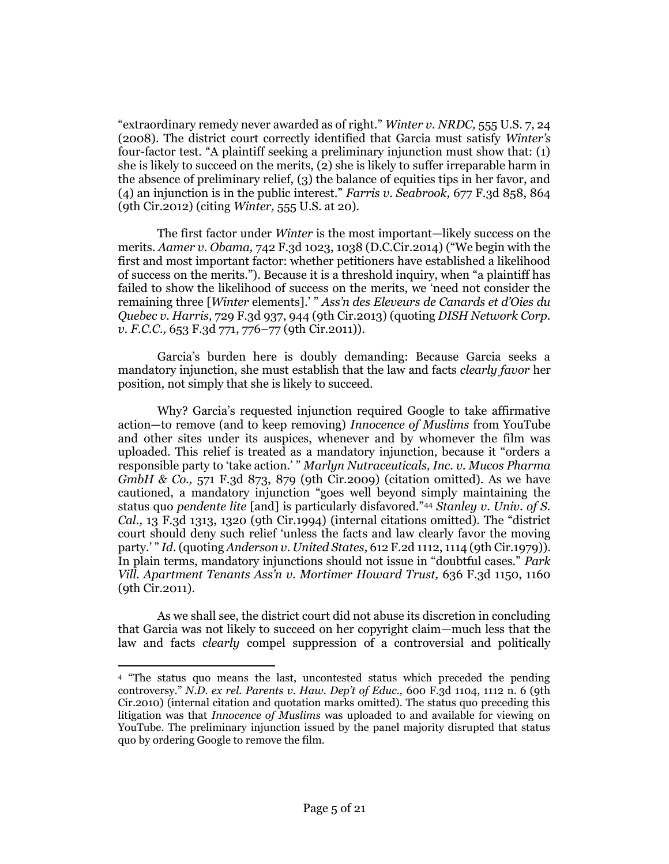"extraordinary remedy never awarded as of right." *[Winter v. NRDC,](http://www.westlaw.com/Link/Document/FullText?findType=Y&serNum=2017439125&pubNum=0000708&originatingDoc=I51ce6ec9fd5811e4b86bd602cb8781fa&refType=RP&originationContext=document&vr=3.0&rs=cblt1.0&transitionType=DocumentItem&contextData=(sc.Search))* 555 U.S. 7, 24 [\(2008\).](http://www.westlaw.com/Link/Document/FullText?findType=Y&serNum=2017439125&pubNum=0000708&originatingDoc=I51ce6ec9fd5811e4b86bd602cb8781fa&refType=RP&originationContext=document&vr=3.0&rs=cblt1.0&transitionType=DocumentItem&contextData=(sc.Search)) The district court correctly identified that Garcia must satisfy *Winter's* four-factor test. "A plaintiff seeking a preliminary injunction must show that: (1) she is likely to succeed on the merits, (2) she is likely to suffer irreparable harm in the absence of preliminary relief, (3) the balance of equities tips in her favor, and (4) an injunction is in the public interest." *[Farris v. Seabrook,](http://www.westlaw.com/Link/Document/FullText?findType=Y&serNum=2027482599&pubNum=0000506&originatingDoc=I51ce6ec9fd5811e4b86bd602cb8781fa&refType=RP&fi=co_pp_sp_506_864&originationContext=document&vr=3.0&rs=cblt1.0&transitionType=DocumentItem&contextData=(sc.Search)#co_pp_sp_506_864)* 677 F.3d 858, 864 [\(9th Cir.2012\)](http://www.westlaw.com/Link/Document/FullText?findType=Y&serNum=2027482599&pubNum=0000506&originatingDoc=I51ce6ec9fd5811e4b86bd602cb8781fa&refType=RP&fi=co_pp_sp_506_864&originationContext=document&vr=3.0&rs=cblt1.0&transitionType=DocumentItem&contextData=(sc.Search)#co_pp_sp_506_864) (citing *Winter,* [555 U.S. at 20\)](http://www.westlaw.com/Link/Document/FullText?findType=Y&serNum=2017439125&pubNum=0000708&originatingDoc=I51ce6ec9fd5811e4b86bd602cb8781fa&refType=RP&originationContext=document&vr=3.0&rs=cblt1.0&transitionType=DocumentItem&contextData=(sc.Search)).

The first factor under *Winter* is the most important—likely success on the merits. *Aamer v. Obama,* [742 F.3d 1023, 1038 \(D.C.Cir.2014\)](http://www.westlaw.com/Link/Document/FullText?findType=Y&serNum=2032696173&pubNum=0000506&originatingDoc=I51ce6ec9fd5811e4b86bd602cb8781fa&refType=RP&fi=co_pp_sp_506_1038&originationContext=document&vr=3.0&rs=cblt1.0&transitionType=DocumentItem&contextData=(sc.Search)#co_pp_sp_506_1038) ("We begin with the first and most important factor: whether petitioners have established a likelihood of success on the merits."). Because it is a threshold inquiry, when "a plaintiff has failed to show the likelihood of success on the merits, we 'need not consider the remaining three [*Winter* elements].' " *[Ass'n des Eleveurs de Canards et d'Oies du](http://www.westlaw.com/Link/Document/FullText?findType=Y&serNum=2031431878&pubNum=0000506&originatingDoc=I51ce6ec9fd5811e4b86bd602cb8781fa&refType=RP&fi=co_pp_sp_506_944&originationContext=document&vr=3.0&rs=cblt1.0&transitionType=DocumentItem&contextData=(sc.Search)#co_pp_sp_506_944)  Quebec v. Harris,* [729 F.3d 937, 944 \(9th Cir.2013\)](http://www.westlaw.com/Link/Document/FullText?findType=Y&serNum=2031431878&pubNum=0000506&originatingDoc=I51ce6ec9fd5811e4b86bd602cb8781fa&refType=RP&fi=co_pp_sp_506_944&originationContext=document&vr=3.0&rs=cblt1.0&transitionType=DocumentItem&contextData=(sc.Search)#co_pp_sp_506_944) (quoting *[DISH Network Corp.](http://www.westlaw.com/Link/Document/FullText?findType=Y&serNum=2025835535&pubNum=0000506&originatingDoc=I51ce6ec9fd5811e4b86bd602cb8781fa&refType=RP&fi=co_pp_sp_506_776&originationContext=document&vr=3.0&rs=cblt1.0&transitionType=DocumentItem&contextData=(sc.Search)#co_pp_sp_506_776)  v. F.C.C.,* [653 F.3d 771, 776](http://www.westlaw.com/Link/Document/FullText?findType=Y&serNum=2025835535&pubNum=0000506&originatingDoc=I51ce6ec9fd5811e4b86bd602cb8781fa&refType=RP&fi=co_pp_sp_506_776&originationContext=document&vr=3.0&rs=cblt1.0&transitionType=DocumentItem&contextData=(sc.Search)#co_pp_sp_506_776)–77 (9th Cir.2011)).

Garcia's burden here is doubly demanding: Because Garcia seeks a mandatory injunction, she must establish that the law and facts *clearly favor* her position, not simply that she is likely to succeed.

Why? Garcia's requested injunction required Google to take affirmative action—to remove (and to keep removing) *Innocence of Muslims* from YouTube and other sites under its auspices, whenever and by whomever the film was uploaded. This relief is treated as a mandatory injunction, because it "orders a responsible party to 'take action.' " *[Marlyn Nutraceuticals, Inc. v. Mucos Pharma](http://www.westlaw.com/Link/Document/FullText?findType=Y&serNum=2019263725&pubNum=0000506&originatingDoc=I51ce6ec9fd5811e4b86bd602cb8781fa&refType=RP&fi=co_pp_sp_506_879&originationContext=document&vr=3.0&rs=cblt1.0&transitionType=DocumentItem&contextData=(sc.Search)#co_pp_sp_506_879)  GmbH & Co.,* [571 F.3d 873, 879 \(9th Cir.2009\)](http://www.westlaw.com/Link/Document/FullText?findType=Y&serNum=2019263725&pubNum=0000506&originatingDoc=I51ce6ec9fd5811e4b86bd602cb8781fa&refType=RP&fi=co_pp_sp_506_879&originationContext=document&vr=3.0&rs=cblt1.0&transitionType=DocumentItem&contextData=(sc.Search)#co_pp_sp_506_879) (citation omitted). As we have cautioned, a mandatory injunction "goes well beyond simply maintaining the status quo *pendente lite* [and] is particularly disfavored."[44](#page-4-0) *[Stanley v. Univ. of S.](http://www.westlaw.com/Link/Document/FullText?findType=Y&serNum=1994022141&pubNum=0000506&originatingDoc=I51ce6ec9fd5811e4b86bd602cb8781fa&refType=RP&fi=co_pp_sp_506_1320&originationContext=document&vr=3.0&rs=cblt1.0&transitionType=DocumentItem&contextData=(sc.Search)#co_pp_sp_506_1320)  Cal.,* [13 F.3d 1313, 1320 \(9th Cir.1994\)](http://www.westlaw.com/Link/Document/FullText?findType=Y&serNum=1994022141&pubNum=0000506&originatingDoc=I51ce6ec9fd5811e4b86bd602cb8781fa&refType=RP&fi=co_pp_sp_506_1320&originationContext=document&vr=3.0&rs=cblt1.0&transitionType=DocumentItem&contextData=(sc.Search)#co_pp_sp_506_1320) (internal citations omitted). The "district court should deny such relief 'unless the facts and law clearly favor the moving party.' " *Id.*(quoting *Anderson v. United States,* [612 F.2d 1112, 1114 \(9th Cir.1979\)\)](http://www.westlaw.com/Link/Document/FullText?findType=Y&serNum=1979140024&pubNum=0000350&originatingDoc=I51ce6ec9fd5811e4b86bd602cb8781fa&refType=RP&fi=co_pp_sp_350_1114&originationContext=document&vr=3.0&rs=cblt1.0&transitionType=DocumentItem&contextData=(sc.Search)#co_pp_sp_350_1114). In plain terms, mandatory injunctions should not issue in "doubtful cases." *[Park](http://www.westlaw.com/Link/Document/FullText?findType=Y&serNum=2024670086&pubNum=0000506&originatingDoc=I51ce6ec9fd5811e4b86bd602cb8781fa&refType=RP&fi=co_pp_sp_506_1160&originationContext=document&vr=3.0&rs=cblt1.0&transitionType=DocumentItem&contextData=(sc.Search)#co_pp_sp_506_1160)  [Vill. Apartment Tenants Ass'n v. Mortimer Howard Trust,](http://www.westlaw.com/Link/Document/FullText?findType=Y&serNum=2024670086&pubNum=0000506&originatingDoc=I51ce6ec9fd5811e4b86bd602cb8781fa&refType=RP&fi=co_pp_sp_506_1160&originationContext=document&vr=3.0&rs=cblt1.0&transitionType=DocumentItem&contextData=(sc.Search)#co_pp_sp_506_1160)* 636 F.3d 1150, 1160 [\(9th Cir.2011\).](http://www.westlaw.com/Link/Document/FullText?findType=Y&serNum=2024670086&pubNum=0000506&originatingDoc=I51ce6ec9fd5811e4b86bd602cb8781fa&refType=RP&fi=co_pp_sp_506_1160&originationContext=document&vr=3.0&rs=cblt1.0&transitionType=DocumentItem&contextData=(sc.Search)#co_pp_sp_506_1160)

<span id="page-4-0"></span>As we shall see, the district court did not abuse its discretion in concluding that Garcia was not likely to succeed on her copyright claim—much less that the law and facts *clearly* compel suppression of a controversial and politically

 $\overline{\phantom{a}}$ 

<sup>4</sup> "The status quo means the last, uncontested status which preceded the pending controversy." *[N.D. ex rel. Parents v. Haw. Dep't of Educ.,](http://www.westlaw.com/Link/Document/FullText?findType=Y&serNum=2021679490&pubNum=0000506&originatingDoc=I51ce6ec9fd5811e4b86bd602cb8781fa&refType=RP&fi=co_pp_sp_506_1112&originationContext=document&vr=3.0&rs=cblt1.0&transitionType=DocumentItem&contextData=(sc.Search)#co_pp_sp_506_1112)* 600 F.3d 1104, 1112 n. 6 (9th [Cir.2010\)](http://www.westlaw.com/Link/Document/FullText?findType=Y&serNum=2021679490&pubNum=0000506&originatingDoc=I51ce6ec9fd5811e4b86bd602cb8781fa&refType=RP&fi=co_pp_sp_506_1112&originationContext=document&vr=3.0&rs=cblt1.0&transitionType=DocumentItem&contextData=(sc.Search)#co_pp_sp_506_1112) (internal citation and quotation marks omitted). The status quo preceding this litigation was that *Innocence of Muslims* was uploaded to and available for viewing on YouTube. The preliminary injunction issued by the panel majority disrupted that status quo by ordering Google to remove the film.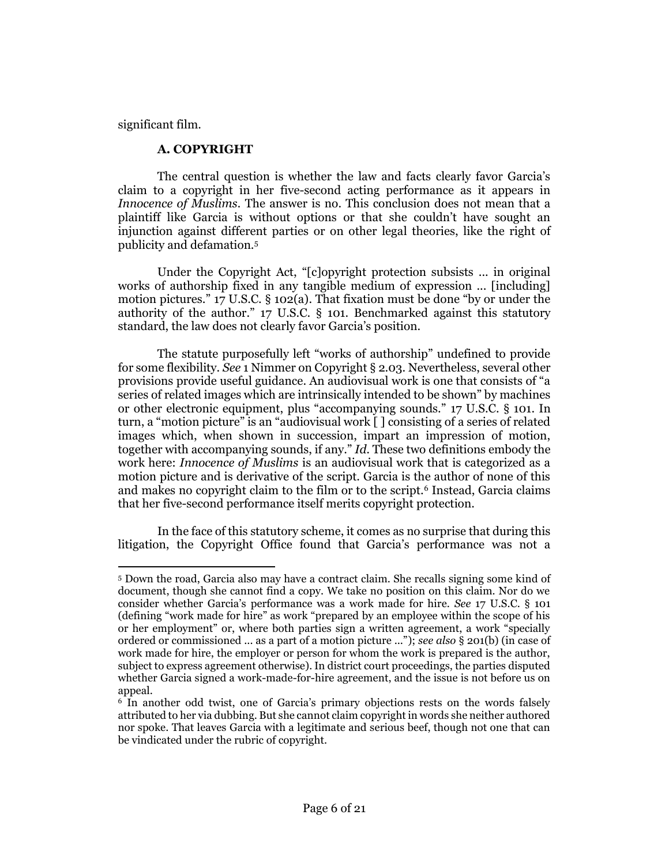significant film.

## **A. COPYRIGHT**

The central question is whether the law and facts clearly favor Garcia's claim to a copyright in her five-second acting performance as it appears in *Innocence of Muslims.* The answer is no. This conclusion does not mean that a plaintiff like Garcia is without options or that she couldn't have sought an injunction against different parties or on other legal theories, like the right of publicity and defamation.<sup>5</sup>

Under the Copyright Act, "[c]opyright protection subsists ... in original works of authorship fixed in any tangible medium of expression ... [including] motion pictures." [17 U.S.C. § 102\(a\)](http://www.westlaw.com/Link/Document/FullText?findType=L&pubNum=1000546&cite=17USCAS102&originatingDoc=I51ce6ec9fd5811e4b86bd602cb8781fa&refType=RB&originationContext=document&vr=3.0&rs=cblt1.0&transitionType=DocumentItem&contextData=(sc.Search)#co_pp_8b3b0000958a4). That fixation must be done "by or under the authority of the author." [17 U.S.C. § 101.](http://www.westlaw.com/Link/Document/FullText?findType=L&pubNum=1000546&cite=17USCAS101&originatingDoc=I51ce6ec9fd5811e4b86bd602cb8781fa&refType=LQ&originationContext=document&vr=3.0&rs=cblt1.0&transitionType=DocumentItem&contextData=(sc.Search)) Benchmarked against this statutory standard, the law does not clearly favor Garcia's position.

The statute purposefully left "works of authorship" undefined to provide for some flexibility. *See* 1 Nimmer on Copyright § 2.03. Nevertheless, several other provisions provide useful guidance. An audiovisual work is one that consists of "a series of related images which are intrinsically intended to be shown" by machines or other electronic equipment, plus "accompanying sounds." [17 U.S.C. § 101.](http://www.westlaw.com/Link/Document/FullText?findType=L&pubNum=1000546&cite=17USCAS101&originatingDoc=I51ce6ec9fd5811e4b86bd602cb8781fa&refType=LQ&originationContext=document&vr=3.0&rs=cblt1.0&transitionType=DocumentItem&contextData=(sc.Search)) In turn, a "motion picture" is an "audiovisual work [ ] consisting of a series of related images which, when shown in succession, impart an impression of motion, together with accompanying sounds, if any." *Id.* These two definitions embody the work here: *Innocence of Muslims* is an audiovisual work that is categorized as a motion picture and is derivative of the script. Garcia is the author of none of this and makes no copyright claim to the film or to the script.<sup>6</sup> Instead, Garcia claims that her five-second performance itself merits copyright protection.

In the face of this statutory scheme, it comes as no surprise that during this litigation, the Copyright Office found that Garcia's performance was not a

 $\overline{a}$ <sup>5</sup> Down the road, Garcia also may have a contract claim. She recalls signing some kind of document, though she cannot find a copy. We take no position on this claim. Nor do we consider whether Garcia's performance was a work made for hire. *See* [17 U.S.C. § 101](http://www.westlaw.com/Link/Document/FullText?findType=L&pubNum=1000546&cite=17USCAS101&originatingDoc=I51ce6ec9fd5811e4b86bd602cb8781fa&refType=LQ&originationContext=document&vr=3.0&rs=cblt1.0&transitionType=DocumentItem&contextData=(sc.Search)) (defining "work made for hire" as work "prepared by an employee within the scope of his or her employment" or, where both parties sign a written agreement, a work "specially ordered or commissioned ... as a part of a motion picture ..."); *see also* § 201(b) (in case of work made for hire, the employer or person for whom the work is prepared is the author, subject to express agreement otherwise). In district court proceedings, the parties disputed whether Garcia signed a work-made-for-hire agreement, and the issue is not before us on appeal.

<sup>6</sup> In another odd twist, one of Garcia's primary objections rests on the words falsely attributed to her via dubbing. But she cannot claim copyright in words she neither authored nor spoke. That leaves Garcia with a legitimate and serious beef, though not one that can be vindicated under the rubric of copyright.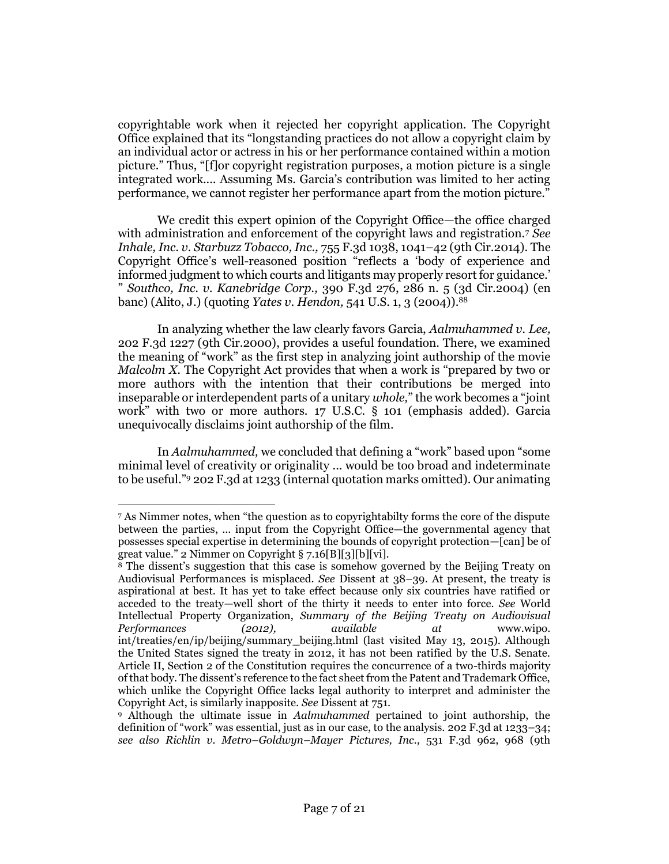copyrightable work when it rejected her copyright application. The Copyright Office explained that its "longstanding practices do not allow a copyright claim by an individual actor or actress in his or her performance contained within a motion picture." Thus, "[f]or copyright registration purposes, a motion picture is a single integrated work.... Assuming Ms. Garcia's contribution was limited to her acting performance, we cannot register her performance apart from the motion picture."

We credit this expert opinion of the Copyright Office—the office charged with administration and enforcement of the copyright laws and registration.<sup>7</sup> *See [Inhale, Inc. v. Starbuzz Tobacco, Inc.,](http://www.westlaw.com/Link/Document/FullText?findType=Y&serNum=2033507611&pubNum=0000506&originatingDoc=I51ce6ec9fd5811e4b86bd602cb8781fa&refType=RP&fi=co_pp_sp_506_1041&originationContext=document&vr=3.0&rs=cblt1.0&transitionType=DocumentItem&contextData=(sc.Search)#co_pp_sp_506_1041)* 755 F.3d 1038, 1041–42 (9th Cir.2014). The Copyright Office's well-reasoned position "reflects a 'body of experience and informed judgment to which courts and litigants may properly resort for guidance.' " *Southco, Inc. v. Kanebridge Corp.,* [390 F.3d 276, 286 n. 5 \(3d Cir.2004\)](http://www.westlaw.com/Link/Document/FullText?findType=Y&serNum=2005671794&pubNum=0000506&originatingDoc=I51ce6ec9fd5811e4b86bd602cb8781fa&refType=RP&fi=co_pp_sp_506_286&originationContext=document&vr=3.0&rs=cblt1.0&transitionType=DocumentItem&contextData=(sc.Search)#co_pp_sp_506_286) (en banc) (Alito, J.) (quoting *Yates v. Hendon,* [541 U.S. 1, 3 \(2004\)\)](http://www.westlaw.com/Link/Document/FullText?findType=Y&serNum=2004171409&pubNum=0000708&originatingDoc=I51ce6ec9fd5811e4b86bd602cb8781fa&refType=RP&originationContext=document&vr=3.0&rs=cblt1.0&transitionType=DocumentItem&contextData=(sc.Search)).[88](#page-6-0)

<span id="page-6-0"></span>In analyzing whether the law clearly favors Garcia, *[Aalmuhammed v. Lee,](http://www.westlaw.com/Link/Document/FullText?findType=Y&serNum=2000047327&pubNum=0000506&originatingDoc=I51ce6ec9fd5811e4b86bd602cb8781fa&refType=RP&originationContext=document&vr=3.0&rs=cblt1.0&transitionType=DocumentItem&contextData=(sc.Search))* [202 F.3d 1227 \(9th Cir.2000\),](http://www.westlaw.com/Link/Document/FullText?findType=Y&serNum=2000047327&pubNum=0000506&originatingDoc=I51ce6ec9fd5811e4b86bd602cb8781fa&refType=RP&originationContext=document&vr=3.0&rs=cblt1.0&transitionType=DocumentItem&contextData=(sc.Search)) provides a useful foundation. There, we examined the meaning of "work" as the first step in analyzing joint authorship of the movie *Malcolm X.* The Copyright Act provides that when a work is "prepared by two or more authors with the intention that their contributions be merged into inseparable or interdependent parts of a unitary *whole,*" the work becomes a "joint work" with two or more authors. [17 U.S.C. § 101](http://www.westlaw.com/Link/Document/FullText?findType=L&pubNum=1000546&cite=17USCAS101&originatingDoc=I51ce6ec9fd5811e4b86bd602cb8781fa&refType=LQ&originationContext=document&vr=3.0&rs=cblt1.0&transitionType=DocumentItem&contextData=(sc.Search)) (emphasis added). Garcia unequivocally disclaims joint authorship of the film.

In *Aalmuhammed,* we concluded that defining a "work" based upon "some minimal level of creativity or originality ... would be too broad and indeterminate to be useful."<sup>9</sup> [202 F.3d at 1233](http://www.westlaw.com/Link/Document/FullText?findType=Y&serNum=2000047327&pubNum=0000506&originatingDoc=I51ce6ec9fd5811e4b86bd602cb8781fa&refType=RP&fi=co_pp_sp_506_1233&originationContext=document&vr=3.0&rs=cblt1.0&transitionType=DocumentItem&contextData=(sc.Search)#co_pp_sp_506_1233) (internal quotation marks omitted). Our animating

 $\overline{\phantom{a}}$ 

<sup>7</sup> As Nimmer notes, when "the question as to copyrightabilty forms the core of the dispute between the parties, ... input from the Copyright Office—the governmental agency that possesses special expertise in determining the bounds of copyright protection—[can] be of great value." 2 Nimmer on Copyright § 7.16[B][3][b][vi].

<sup>&</sup>lt;sup>8</sup> The dissent's suggestion that this case is somehow governed by the Beijing Treaty on Audiovisual Performances is misplaced. *See* Dissent at 38–39. At present, the treaty is aspirational at best. It has yet to take effect because only six countries have ratified or acceded to the treaty—well short of the thirty it needs to enter into force. *See* World Intellectual Property Organization, *Summary of the Beijing Treaty on Audiovisual Performances (2012), available at* www.wipo. int/treaties/en/ip/beijing/summary\_beijing.html (last visited May 13, 2015). Although the United States signed the treaty in 2012, it has not been ratified by the U.S. Senate. [Article II, Section 2 of the Constitution](http://www.westlaw.com/Link/Document/FullText?findType=L&pubNum=1000203&cite=CACNART2S2&originatingDoc=I51ce6ec9fd5811e4b86bd602cb8781fa&refType=LQ&originationContext=document&vr=3.0&rs=cblt1.0&transitionType=DocumentItem&contextData=(sc.Search)) requires the concurrence of a two-thirds majority of that body. The dissent's reference to the fact sheet from the Patent and Trademark Office, which unlike the Copyright Office lacks legal authority to interpret and administer the Copyright Act, is similarly inapposite. *See* Dissent at 751.

<sup>9</sup> Although the ultimate issue in *Aalmuhammed* pertained to joint authorship, the definition of "work" was essential, just as in our case, to the analysis. [202 F.3d at 1233](http://www.westlaw.com/Link/Document/FullText?findType=Y&serNum=2000047327&pubNum=0000506&originatingDoc=I51ce6ec9fd5811e4b86bd602cb8781fa&refType=RP&fi=co_pp_sp_506_1233&originationContext=document&vr=3.0&rs=cblt1.0&transitionType=DocumentItem&contextData=(sc.Search)#co_pp_sp_506_1233)–34; *see also Richlin v. Metro–Goldwyn–Mayer Pictures, Inc.,* [531 F.3d 962, 968 \(9th](http://www.westlaw.com/Link/Document/FullText?findType=Y&serNum=2016365748&pubNum=0000506&originatingDoc=I51ce6ec9fd5811e4b86bd602cb8781fa&refType=RP&fi=co_pp_sp_506_968&originationContext=document&vr=3.0&rs=cblt1.0&transitionType=DocumentItem&contextData=(sc.Search)#co_pp_sp_506_968)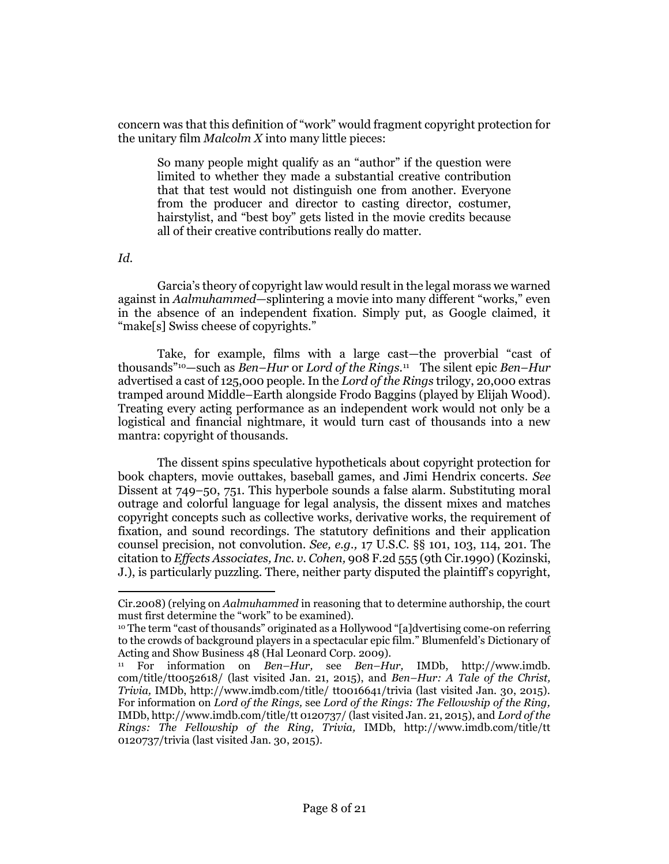concern was that this definition of "work" would fragment copyright protection for the unitary film *Malcolm X* into many little pieces:

So many people might qualify as an "author" if the question were limited to whether they made a substantial creative contribution that that test would not distinguish one from another. Everyone from the producer and director to casting director, costumer, hairstylist, and "best boy" gets listed in the movie credits because all of their creative contributions really do matter.

*Id.*

Garcia's theory of copyright law would result in the legal morass we warned against in *Aalmuhammed*—splintering a movie into many different "works," even in the absence of an independent fixation. Simply put, as Google claimed, it "make[s] Swiss cheese of copyrights."

Take, for example, films with a large cast—the proverbial "cast of thousands"10—such as *Ben–Hur* or *Lord of the Rings.*<sup>11</sup> The silent epic *Ben–Hur* advertised a cast of 125,000 people. In the *Lord of the Rings* trilogy, 20,000 extras tramped around Middle–Earth alongside Frodo Baggins (played by Elijah Wood). Treating every acting performance as an independent work would not only be a logistical and financial nightmare, it would turn cast of thousands into a new mantra: copyright of thousands.

The dissent spins speculative hypotheticals about copyright protection for book chapters, movie outtakes, baseball games, and Jimi Hendrix concerts. *See* Dissent at 749–50, 751. This hyperbole sounds a false alarm. Substituting moral outrage and colorful language for legal analysis, the dissent mixes and matches copyright concepts such as collective works, derivative works, the requirement of fixation, and sound recordings. The statutory definitions and their application counsel precision, not convolution. *See, e.g.,* [17 U.S.C. §§ 101,](http://www.westlaw.com/Link/Document/FullText?findType=L&pubNum=1000546&cite=17USCAS101&originatingDoc=I51ce6ec9fd5811e4b86bd602cb8781fa&refType=LQ&originationContext=document&vr=3.0&rs=cblt1.0&transitionType=DocumentItem&contextData=(sc.Search)) [103,](http://www.westlaw.com/Link/Document/FullText?findType=L&pubNum=1000546&cite=17USCAS103&originatingDoc=I51ce6ec9fd5811e4b86bd602cb8781fa&refType=LQ&originationContext=document&vr=3.0&rs=cblt1.0&transitionType=DocumentItem&contextData=(sc.Search)) [114,](http://www.westlaw.com/Link/Document/FullText?findType=L&pubNum=1000546&cite=17USCAS114&originatingDoc=I51ce6ec9fd5811e4b86bd602cb8781fa&refType=LQ&originationContext=document&vr=3.0&rs=cblt1.0&transitionType=DocumentItem&contextData=(sc.Search)) [201.](http://www.westlaw.com/Link/Document/FullText?findType=L&pubNum=1000546&cite=17USCAS201&originatingDoc=I51ce6ec9fd5811e4b86bd602cb8781fa&refType=LQ&originationContext=document&vr=3.0&rs=cblt1.0&transitionType=DocumentItem&contextData=(sc.Search)) The citation to *[Effects Associates, Inc. v. Cohen,](http://www.westlaw.com/Link/Document/FullText?findType=Y&serNum=1990110297&pubNum=0000350&originatingDoc=I51ce6ec9fd5811e4b86bd602cb8781fa&refType=RP&originationContext=document&vr=3.0&rs=cblt1.0&transitionType=DocumentItem&contextData=(sc.Search))* 908 F.2d 555 (9th Cir.1990) (Kozinski, J.), is particularly puzzling. There, neither party disputed the plaintiff's copyright,

 $\overline{\phantom{a}}$ [Cir.2008\)](http://www.westlaw.com/Link/Document/FullText?findType=Y&serNum=2016365748&pubNum=0000506&originatingDoc=I51ce6ec9fd5811e4b86bd602cb8781fa&refType=RP&fi=co_pp_sp_506_968&originationContext=document&vr=3.0&rs=cblt1.0&transitionType=DocumentItem&contextData=(sc.Search)#co_pp_sp_506_968) (relying on *Aalmuhammed* in reasoning that to determine authorship, the court must first determine the "work" to be examined).

<sup>10</sup> The term "cast of thousands" originated as a Hollywood "[a]dvertising come-on referring to the crowds of background players in a spectacular epic film." Blumenfeld's Dictionary of Acting and Show Business 48 (Hal Leonard Corp. 2009).

<sup>11</sup> For information on *Ben–Hur,* see *Ben–Hur,* IMDb, http://www.imdb. com/title/tt0052618/ (last visited Jan. 21, 2015), and *Ben–Hur: A Tale of the Christ, Trivia,* IMDb, http://www.imdb.com/title/ tt0016641/trivia (last visited Jan. 30, 2015). For information on *Lord of the Rings,* see *Lord of the Rings: The Fellowship of the Ring,* IMDb, http://www.imdb.com/title/tt 0120737/ (last visited Jan. 21, 2015), and *Lord of the Rings: The Fellowship of the Ring, Trivia,* IMDb, http://www.imdb.com/title/tt 0120737/trivia (last visited Jan. 30, 2015).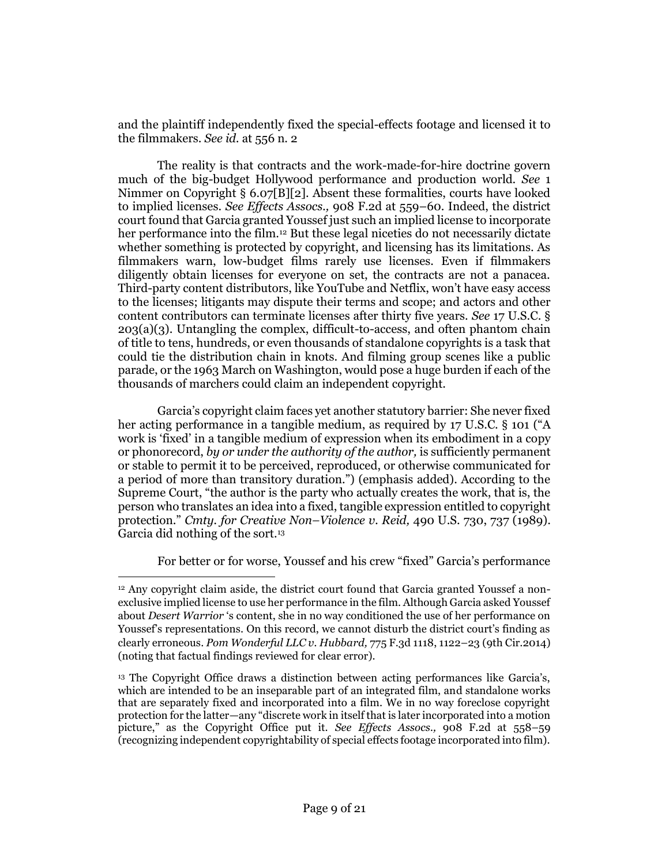and the plaintiff independently fixed the special-effects footage and licensed it to the filmmakers. *See id.* [at 556 n. 2](http://www.westlaw.com/Link/Document/FullText?findType=Y&serNum=1990110297&pubNum=0000350&originatingDoc=I51ce6ec9fd5811e4b86bd602cb8781fa&refType=RP&fi=co_pp_sp_350_556&originationContext=document&vr=3.0&rs=cblt1.0&transitionType=DocumentItem&contextData=(sc.Search)#co_pp_sp_350_556)

The reality is that contracts and the work-made-for-hire doctrine govern much of the big-budget Hollywood performance and production world. *See* 1 Nimmer on Copyright § 6.07[B][2]. Absent these formalities, courts have looked to implied licenses. *See Effects Assocs.,* [908 F.2d at 559](http://www.westlaw.com/Link/Document/FullText?findType=Y&serNum=1990110297&pubNum=0000350&originatingDoc=I51ce6ec9fd5811e4b86bd602cb8781fa&refType=RP&fi=co_pp_sp_350_559&originationContext=document&vr=3.0&rs=cblt1.0&transitionType=DocumentItem&contextData=(sc.Search)#co_pp_sp_350_559)–60. Indeed, the district court found that Garcia granted Youssef just such an implied license to incorporate her performance into the film.<sup>12</sup> But these legal niceties do not necessarily dictate whether something is protected by copyright, and licensing has its limitations. As filmmakers warn, low-budget films rarely use licenses. Even if filmmakers diligently obtain licenses for everyone on set, the contracts are not a panacea. Third-party content distributors, like YouTube and Netflix, won't have easy access to the licenses; litigants may dispute their terms and scope; and actors and other content contributors can terminate licenses after thirty five years. *See* [17 U.S.C. §](http://www.westlaw.com/Link/Document/FullText?findType=L&pubNum=1000546&cite=17USCAS203&originatingDoc=I51ce6ec9fd5811e4b86bd602cb8781fa&refType=RB&originationContext=document&vr=3.0&rs=cblt1.0&transitionType=DocumentItem&contextData=(sc.Search)#co_pp_28cc0000ccca6)   $203(a)(3)$ . Untangling the complex, difficult-to-access, and often phantom chain of title to tens, hundreds, or even thousands of standalone copyrights is a task that could tie the distribution chain in knots. And filming group scenes like a public parade, or the 1963 March on Washington, would pose a huge burden if each of the thousands of marchers could claim an independent copyright.

Garcia's copyright claim faces yet another statutory barrier: She never fixed her acting performance in a tangible medium, as required by [17 U.S.C. § 101](http://www.westlaw.com/Link/Document/FullText?findType=L&pubNum=1000546&cite=17USCAS101&originatingDoc=I51ce6ec9fd5811e4b86bd602cb8781fa&refType=LQ&originationContext=document&vr=3.0&rs=cblt1.0&transitionType=DocumentItem&contextData=(sc.Search)) ("A work is 'fixed' in a tangible medium of expression when its embodiment in a copy or phonorecord, *by or under the authority of the author,* is sufficiently permanent or stable to permit it to be perceived, reproduced, or otherwise communicated for a period of more than transitory duration.") (emphasis added). According to the Supreme Court, "the author is the party who actually creates the work, that is, the person who translates an idea into a fixed, tangible expression entitled to copyright protection." *Cmty. for Creative Non–Violence v. Reid,* [490 U.S. 730, 737 \(1989\).](http://www.westlaw.com/Link/Document/FullText?findType=Y&serNum=1989082504&pubNum=0000708&originatingDoc=I51ce6ec9fd5811e4b86bd602cb8781fa&refType=RP&originationContext=document&vr=3.0&rs=cblt1.0&transitionType=DocumentItem&contextData=(sc.Search)) Garcia did nothing of the sort.<sup>13</sup>

For better or for worse, Youssef and his crew "fixed" Garcia's performance

 $\overline{\phantom{a}}$ 

<sup>12</sup> Any copyright claim aside, the district court found that Garcia granted Youssef a nonexclusive implied license to use her performance in the film. Although Garcia asked Youssef about *Desert Warrior* 's content, she in no way conditioned the use of her performance on Youssef's representations. On this record, we cannot disturb the district court's finding as clearly erroneous. *[Pom Wonderful LLC v. Hubbard,](http://www.westlaw.com/Link/Document/FullText?findType=Y&serNum=2035176986&pubNum=0000506&originatingDoc=I51ce6ec9fd5811e4b86bd602cb8781fa&refType=RP&fi=co_pp_sp_506_1122&originationContext=document&vr=3.0&rs=cblt1.0&transitionType=DocumentItem&contextData=(sc.Search)#co_pp_sp_506_1122)* 775 F.3d 1118, 1122–23 (9th Cir.2014) (noting that factual findings reviewed for clear error).

<sup>13</sup> The Copyright Office draws a distinction between acting performances like Garcia's, which are intended to be an inseparable part of an integrated film, and standalone works that are separately fixed and incorporated into a film. We in no way foreclose copyright protection for the latter—any "discrete work in itself that is later incorporated into a motion picture," as the Copyright Office put it. *See Effects Assocs.,* [908 F.2d at 558](http://www.westlaw.com/Link/Document/FullText?findType=Y&serNum=1990110297&pubNum=0000350&originatingDoc=I51ce6ec9fd5811e4b86bd602cb8781fa&refType=RP&fi=co_pp_sp_350_558&originationContext=document&vr=3.0&rs=cblt1.0&transitionType=DocumentItem&contextData=(sc.Search)#co_pp_sp_350_558)–59 (recognizing independent copyrightability of special effects footage incorporated into film).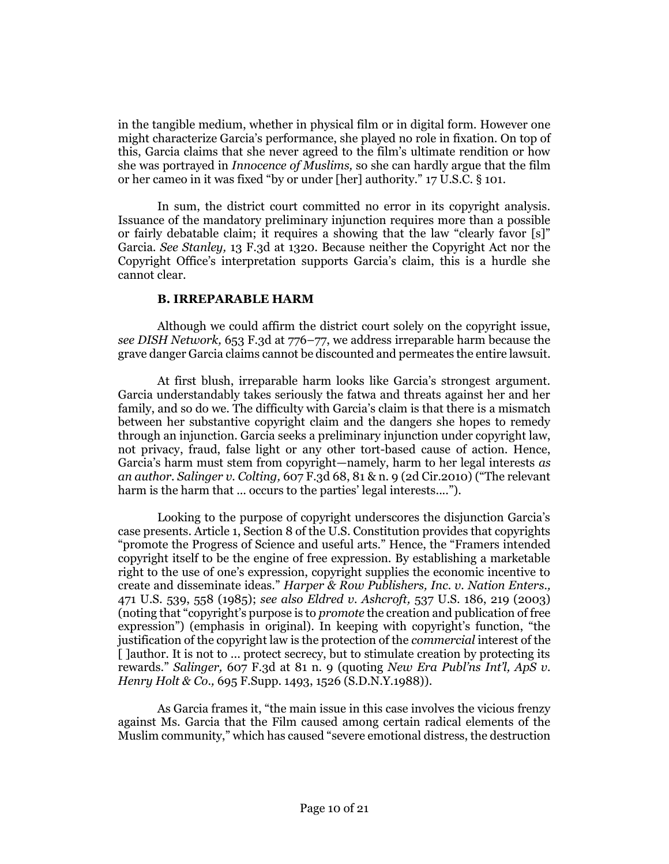in the tangible medium, whether in physical film or in digital form. However one might characterize Garcia's performance, she played no role in fixation. On top of this, Garcia claims that she never agreed to the film's ultimate rendition or how she was portrayed in *Innocence of Muslims,* so she can hardly argue that the film or her cameo in it was fixed "by or under [her] authority." [17 U.S.C. § 101.](http://www.westlaw.com/Link/Document/FullText?findType=L&pubNum=1000546&cite=17USCAS101&originatingDoc=I51ce6ec9fd5811e4b86bd602cb8781fa&refType=LQ&originationContext=document&vr=3.0&rs=cblt1.0&transitionType=DocumentItem&contextData=(sc.Search))

In sum, the district court committed no error in its copyright analysis. Issuance of the mandatory preliminary injunction requires more than a possible or fairly debatable claim; it requires a showing that the law "clearly favor [s]" Garcia. *See Stanley,* [13 F.3d at 1320.](http://www.westlaw.com/Link/Document/FullText?findType=Y&serNum=1994022141&pubNum=0000506&originatingDoc=I51ce6ec9fd5811e4b86bd602cb8781fa&refType=RP&fi=co_pp_sp_506_1320&originationContext=document&vr=3.0&rs=cblt1.0&transitionType=DocumentItem&contextData=(sc.Search)#co_pp_sp_506_1320) Because neither the Copyright Act nor the Copyright Office's interpretation supports Garcia's claim, this is a hurdle she cannot clear.

# **B. IRREPARABLE HARM**

Although we could affirm the district court solely on the copyright issue, *see [DISH Network,](http://www.westlaw.com/Link/Document/FullText?findType=Y&serNum=2025835535&pubNum=0000506&originatingDoc=I51ce6ec9fd5811e4b86bd602cb8781fa&refType=RP&fi=co_pp_sp_506_776&originationContext=document&vr=3.0&rs=cblt1.0&transitionType=DocumentItem&contextData=(sc.Search)#co_pp_sp_506_776)* 653 F.3d at 776–77, we address irreparable harm because the grave danger Garcia claims cannot be discounted and permeates the entire lawsuit.

At first blush, irreparable harm looks like Garcia's strongest argument. Garcia understandably takes seriously the fatwa and threats against her and her family, and so do we. The difficulty with Garcia's claim is that there is a mismatch between her substantive copyright claim and the dangers she hopes to remedy through an injunction. Garcia seeks a preliminary injunction under copyright law, not privacy, fraud, false light or any other tort-based cause of action. Hence, Garcia's harm must stem from copyright—namely, harm to her legal interests *as an author. Salinger v. Colting,* [607 F.3d 68, 81 & n. 9 \(2d Cir.2010\)](http://www.westlaw.com/Link/Document/FullText?findType=Y&serNum=2021885288&pubNum=0000506&originatingDoc=I51ce6ec9fd5811e4b86bd602cb8781fa&refType=RP&fi=co_pp_sp_506_81&originationContext=document&vr=3.0&rs=cblt1.0&transitionType=DocumentItem&contextData=(sc.Search)#co_pp_sp_506_81) ("The relevant harm is the harm that ... occurs to the parties' legal interests....").

Looking to the purpose of copyright underscores the disjunction Garcia's case presents. Article 1, Section 8 of the U.S. Constitution provides that copyrights "promote the Progress of Science and useful arts." Hence, the "Framers intended copyright itself to be the engine of free expression. By establishing a marketable right to the use of one's expression, copyright supplies the economic incentive to create and disseminate ideas." *[Harper & Row Publishers, Inc. v. Nation Enters.,](http://www.westlaw.com/Link/Document/FullText?findType=Y&serNum=1985125844&pubNum=0000708&originatingDoc=I51ce6ec9fd5811e4b86bd602cb8781fa&refType=RP&originationContext=document&vr=3.0&rs=cblt1.0&transitionType=DocumentItem&contextData=(sc.Search))* [471 U.S. 539, 558 \(1985\);](http://www.westlaw.com/Link/Document/FullText?findType=Y&serNum=1985125844&pubNum=0000708&originatingDoc=I51ce6ec9fd5811e4b86bd602cb8781fa&refType=RP&originationContext=document&vr=3.0&rs=cblt1.0&transitionType=DocumentItem&contextData=(sc.Search)) *see also Eldred v. Ashcroft,* [537 U.S. 186, 219 \(2003\)](http://www.westlaw.com/Link/Document/FullText?findType=Y&serNum=2003078650&pubNum=0000708&originatingDoc=I51ce6ec9fd5811e4b86bd602cb8781fa&refType=RP&originationContext=document&vr=3.0&rs=cblt1.0&transitionType=DocumentItem&contextData=(sc.Search)) (noting that "copyright's purpose is to *promote* the creation and publication of free expression") (emphasis in original). In keeping with copyright's function, "the justification of the copyright law is the protection of the *commercial* interest of the [ ]author. It is not to ... protect secrecy, but to stimulate creation by protecting its rewards." *Salinger,* [607 F.3d at](http://www.westlaw.com/Link/Document/FullText?findType=Y&serNum=2021885288&pubNum=0000506&originatingDoc=I51ce6ec9fd5811e4b86bd602cb8781fa&refType=RP&fi=co_pp_sp_506_81&originationContext=document&vr=3.0&rs=cblt1.0&transitionType=DocumentItem&contextData=(sc.Search)#co_pp_sp_506_81) 81 n. 9 (quoting *[New Era Publ'ns Int'l, ApS v.](http://www.westlaw.com/Link/Document/FullText?findType=Y&serNum=1988112545&pubNum=0000345&originatingDoc=I51ce6ec9fd5811e4b86bd602cb8781fa&refType=RP&fi=co_pp_sp_345_1526&originationContext=document&vr=3.0&rs=cblt1.0&transitionType=DocumentItem&contextData=(sc.Search)#co_pp_sp_345_1526)  Henry Holt & Co.,* [695 F.Supp. 1493, 1526 \(S.D.N.Y.1988\)\)](http://www.westlaw.com/Link/Document/FullText?findType=Y&serNum=1988112545&pubNum=0000345&originatingDoc=I51ce6ec9fd5811e4b86bd602cb8781fa&refType=RP&fi=co_pp_sp_345_1526&originationContext=document&vr=3.0&rs=cblt1.0&transitionType=DocumentItem&contextData=(sc.Search)#co_pp_sp_345_1526).

As Garcia frames it, "the main issue in this case involves the vicious frenzy against Ms. Garcia that the Film caused among certain radical elements of the Muslim community," which has caused "severe emotional distress, the destruction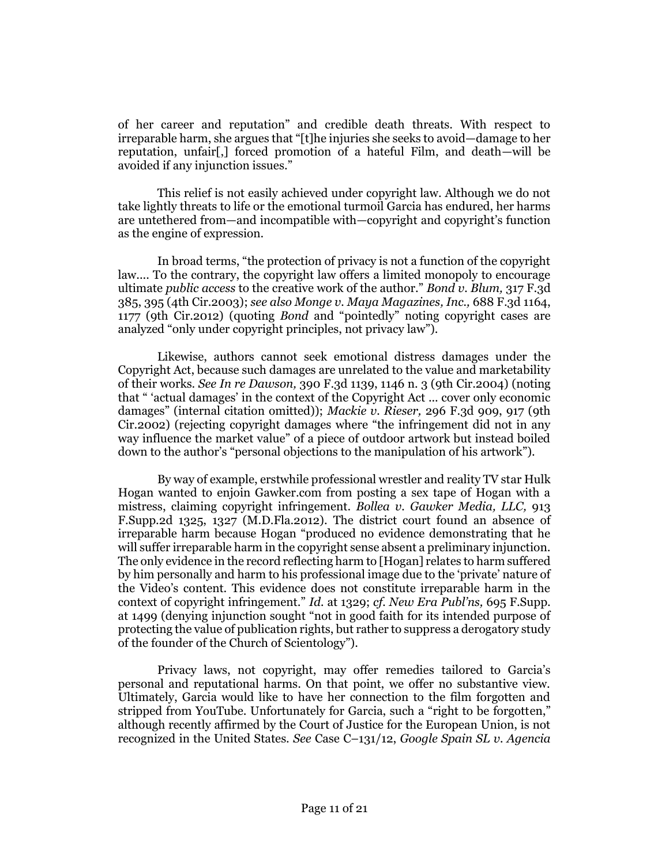of her career and reputation" and credible death threats. With respect to irreparable harm, she argues that "[t]he injuries she seeks to avoid—damage to her reputation, unfair[,] forced promotion of a hateful Film, and death—will be avoided if any injunction issues."

This relief is not easily achieved under copyright law. Although we do not take lightly threats to life or the emotional turmoil Garcia has endured, her harms are untethered from—and incompatible with—copyright and copyright's function as the engine of expression.

In broad terms, "the protection of privacy is not a function of the copyright law.... To the contrary, the copyright law offers a limited monopoly to encourage ultimate *public access* to the creative work of the author." *[Bond v. Blum,](http://www.westlaw.com/Link/Document/FullText?findType=Y&serNum=2003109895&pubNum=0000506&originatingDoc=I51ce6ec9fd5811e4b86bd602cb8781fa&refType=RP&fi=co_pp_sp_506_395&originationContext=document&vr=3.0&rs=cblt1.0&transitionType=DocumentItem&contextData=(sc.Search)#co_pp_sp_506_395)* 317 F.3d [385, 395 \(4th Cir.2003\);](http://www.westlaw.com/Link/Document/FullText?findType=Y&serNum=2003109895&pubNum=0000506&originatingDoc=I51ce6ec9fd5811e4b86bd602cb8781fa&refType=RP&fi=co_pp_sp_506_395&originationContext=document&vr=3.0&rs=cblt1.0&transitionType=DocumentItem&contextData=(sc.Search)#co_pp_sp_506_395) *see als[o Monge v. Maya Magazines, Inc.,](http://www.westlaw.com/Link/Document/FullText?findType=Y&serNum=2028399349&pubNum=0000506&originatingDoc=I51ce6ec9fd5811e4b86bd602cb8781fa&refType=RP&fi=co_pp_sp_506_1177&originationContext=document&vr=3.0&rs=cblt1.0&transitionType=DocumentItem&contextData=(sc.Search)#co_pp_sp_506_1177)* 688 F.3d 1164, [1177 \(9th Cir.2012\)](http://www.westlaw.com/Link/Document/FullText?findType=Y&serNum=2028399349&pubNum=0000506&originatingDoc=I51ce6ec9fd5811e4b86bd602cb8781fa&refType=RP&fi=co_pp_sp_506_1177&originationContext=document&vr=3.0&rs=cblt1.0&transitionType=DocumentItem&contextData=(sc.Search)#co_pp_sp_506_1177) (quoting *Bond* and "pointedly" noting copyright cases are analyzed "only under copyright principles, not privacy law").

Likewise, authors cannot seek emotional distress damages under the Copyright Act, because such damages are unrelated to the value and marketability of their works. *See In re Dawson,* [390 F.3d 1139, 1146 n. 3 \(9th Cir.2004\)](http://www.westlaw.com/Link/Document/FullText?findType=Y&serNum=2005733652&pubNum=0000506&originatingDoc=I51ce6ec9fd5811e4b86bd602cb8781fa&refType=RP&fi=co_pp_sp_506_1146&originationContext=document&vr=3.0&rs=cblt1.0&transitionType=DocumentItem&contextData=(sc.Search)#co_pp_sp_506_1146) (noting that " 'actual damages' in the context of the Copyright Act ... cover only economic damages" (internal citation omitted)); *Mackie v. Rieser,* [296 F.3d 909, 917 \(9th](http://www.westlaw.com/Link/Document/FullText?findType=Y&serNum=2002465391&pubNum=0000506&originatingDoc=I51ce6ec9fd5811e4b86bd602cb8781fa&refType=RP&fi=co_pp_sp_506_917&originationContext=document&vr=3.0&rs=cblt1.0&transitionType=DocumentItem&contextData=(sc.Search)#co_pp_sp_506_917)  [Cir.2002\)](http://www.westlaw.com/Link/Document/FullText?findType=Y&serNum=2002465391&pubNum=0000506&originatingDoc=I51ce6ec9fd5811e4b86bd602cb8781fa&refType=RP&fi=co_pp_sp_506_917&originationContext=document&vr=3.0&rs=cblt1.0&transitionType=DocumentItem&contextData=(sc.Search)#co_pp_sp_506_917) (rejecting copyright damages where "the infringement did not in any way influence the market value" of a piece of outdoor artwork but instead boiled down to the author's "personal objections to the manipulation of his artwork").

By way of example, erstwhile professional wrestler and reality TV star Hulk Hogan wanted to enjoin Gawker.com from posting a sex tape of Hogan with a mistress, claiming copyright infringement. *[Bollea v. Gawker Media, LLC,](http://www.westlaw.com/Link/Document/FullText?findType=Y&serNum=2029795624&pubNum=0004637&originatingDoc=I51ce6ec9fd5811e4b86bd602cb8781fa&refType=RP&fi=co_pp_sp_4637_1327&originationContext=document&vr=3.0&rs=cblt1.0&transitionType=DocumentItem&contextData=(sc.Search)#co_pp_sp_4637_1327)* 913 [F.Supp.2d 1325, 1327 \(M.D.Fla.2012\).](http://www.westlaw.com/Link/Document/FullText?findType=Y&serNum=2029795624&pubNum=0004637&originatingDoc=I51ce6ec9fd5811e4b86bd602cb8781fa&refType=RP&fi=co_pp_sp_4637_1327&originationContext=document&vr=3.0&rs=cblt1.0&transitionType=DocumentItem&contextData=(sc.Search)#co_pp_sp_4637_1327) The district court found an absence of irreparable harm because Hogan "produced no evidence demonstrating that he will suffer irreparable harm in the copyright sense absent a preliminary injunction. The only evidence in the record reflecting harm to [Hogan] relates to harm suffered by him personally and harm to his professional image due to the 'private' nature of the Video's content. This evidence does not constitute irreparable harm in the context of copyright infringement." *Id.* [at 1329;](http://www.westlaw.com/Link/Document/FullText?findType=Y&serNum=2029795624&pubNum=0004637&originatingDoc=I51ce6ec9fd5811e4b86bd602cb8781fa&refType=RP&fi=co_pp_sp_4637_1329&originationContext=document&vr=3.0&rs=cblt1.0&transitionType=DocumentItem&contextData=(sc.Search)#co_pp_sp_4637_1329) *cf. [New Era Publ'ns,](http://www.westlaw.com/Link/Document/FullText?findType=Y&serNum=1988112545&pubNum=0000345&originatingDoc=I51ce6ec9fd5811e4b86bd602cb8781fa&refType=RP&fi=co_pp_sp_345_1499&originationContext=document&vr=3.0&rs=cblt1.0&transitionType=DocumentItem&contextData=(sc.Search)#co_pp_sp_345_1499)* 695 F.Supp. [at 1499](http://www.westlaw.com/Link/Document/FullText?findType=Y&serNum=1988112545&pubNum=0000345&originatingDoc=I51ce6ec9fd5811e4b86bd602cb8781fa&refType=RP&fi=co_pp_sp_345_1499&originationContext=document&vr=3.0&rs=cblt1.0&transitionType=DocumentItem&contextData=(sc.Search)#co_pp_sp_345_1499) (denying injunction sought "not in good faith for its intended purpose of protecting the value of publication rights, but rather to suppress a derogatory study of the founder of the Church of Scientology").

Privacy laws, not copyright, may offer remedies tailored to Garcia's personal and reputational harms. On that point, we offer no substantive view. Ultimately, Garcia would like to have her connection to the film forgotten and stripped from YouTube. Unfortunately for Garcia, such a "right to be forgotten," although recently affirmed by the Court of Justice for the European Union, is not recognized in the United States. *See* Case C–131/12, *Google Spain SL v. Agencia*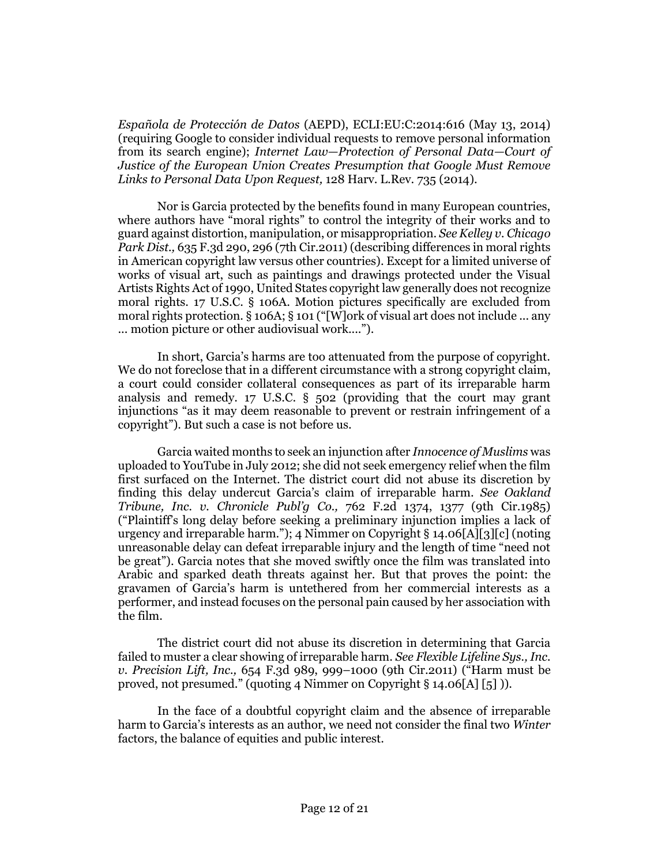*Española de Protección de Datos* (AEPD), ECLI:EU:C:2014:616 (May 13, 2014) (requiring Google to consider individual requests [to remove personal information](http://www.westlaw.com/Link/Document/FullText?findType=Y&serNum=0418584615&pubNum=0003084&originatingDoc=I51ce6ec9fd5811e4b86bd602cb8781fa&refType=LR&originationContext=document&vr=3.0&rs=cblt1.0&transitionType=DocumentItem&contextData=(sc.Search))  from its search engine); *Internet Law—[Protection of Personal Data](http://www.westlaw.com/Link/Document/FullText?findType=Y&serNum=0418584615&pubNum=0003084&originatingDoc=I51ce6ec9fd5811e4b86bd602cb8781fa&refType=LR&originationContext=document&vr=3.0&rs=cblt1.0&transitionType=DocumentItem&contextData=(sc.Search))—Court of [Justice of the European Union Creates Presumption that Google Must Remove](http://www.westlaw.com/Link/Document/FullText?findType=Y&serNum=0418584615&pubNum=0003084&originatingDoc=I51ce6ec9fd5811e4b86bd602cb8781fa&refType=LR&originationContext=document&vr=3.0&rs=cblt1.0&transitionType=DocumentItem&contextData=(sc.Search))  [Links to Personal Data Upon Request,](http://www.westlaw.com/Link/Document/FullText?findType=Y&serNum=0418584615&pubNum=0003084&originatingDoc=I51ce6ec9fd5811e4b86bd602cb8781fa&refType=LR&originationContext=document&vr=3.0&rs=cblt1.0&transitionType=DocumentItem&contextData=(sc.Search))* 128 Harv. L.Rev. 735 (2014).

Nor is Garcia protected by the benefits found in many European countries, where authors have "moral rights" to control the integrity of their works and to guard against distortion, manipulation, or misappropriation. *Se[e Kelley v. Chicago](http://www.westlaw.com/Link/Document/FullText?findType=Y&serNum=2024586851&pubNum=0000506&originatingDoc=I51ce6ec9fd5811e4b86bd602cb8781fa&refType=RP&fi=co_pp_sp_506_296&originationContext=document&vr=3.0&rs=cblt1.0&transitionType=DocumentItem&contextData=(sc.Search)#co_pp_sp_506_296)  Park Dist.,* [635 F.3d 290, 296 \(7th Cir.2011\)](http://www.westlaw.com/Link/Document/FullText?findType=Y&serNum=2024586851&pubNum=0000506&originatingDoc=I51ce6ec9fd5811e4b86bd602cb8781fa&refType=RP&fi=co_pp_sp_506_296&originationContext=document&vr=3.0&rs=cblt1.0&transitionType=DocumentItem&contextData=(sc.Search)#co_pp_sp_506_296) (describing differences in moral rights in American copyright law versus other countries). Except for a limited universe of works of visual art, such as paintings and drawings protected under the Visual Artists Rights Act of 1990, United States copyright law generally does not recognize moral rights. [17 U.S.C. § 106A.](http://www.westlaw.com/Link/Document/FullText?findType=L&pubNum=1000546&cite=17USCAS106A&originatingDoc=I51ce6ec9fd5811e4b86bd602cb8781fa&refType=LQ&originationContext=document&vr=3.0&rs=cblt1.0&transitionType=DocumentItem&contextData=(sc.Search)) Motion pictures specifically are excluded from moral rights protection. [§ 106A;](http://www.westlaw.com/Link/Document/FullText?findType=L&pubNum=1000546&cite=17USCAS106A&originatingDoc=I51ce6ec9fd5811e4b86bd602cb8781fa&refType=LQ&originationContext=document&vr=3.0&rs=cblt1.0&transitionType=DocumentItem&contextData=(sc.Search)) [§ 101](http://www.westlaw.com/Link/Document/FullText?findType=L&pubNum=1000546&cite=17USCAS101&originatingDoc=I51ce6ec9fd5811e4b86bd602cb8781fa&refType=LQ&originationContext=document&vr=3.0&rs=cblt1.0&transitionType=DocumentItem&contextData=(sc.Search)) ("[W]ork of visual art does not include ... any ... motion picture or other audiovisual work....").

In short, Garcia's harms are too attenuated from the purpose of copyright. We do not foreclose that in a different circumstance with a strong copyright claim, a court could consider collateral consequences as part of its irreparable harm analysis and remedy. [17 U.S.C. § 502](http://www.westlaw.com/Link/Document/FullText?findType=L&pubNum=1000546&cite=17USCAS502&originatingDoc=I51ce6ec9fd5811e4b86bd602cb8781fa&refType=LQ&originationContext=document&vr=3.0&rs=cblt1.0&transitionType=DocumentItem&contextData=(sc.Search)) (providing that the court may grant injunctions "as it may deem reasonable to prevent or restrain infringement of a copyright"). But such a case is not before us.

Garcia waited months to seek an injunction after *Innocence of Muslims* was uploaded to YouTube in July 2012; she did not seek emergency relief when the film first surfaced on the Internet. The district court did not abuse its discretion by finding this delay undercut Garcia's claim of irreparable harm. *See [Oakland](http://www.westlaw.com/Link/Document/FullText?findType=Y&serNum=1985130236&pubNum=0000350&originatingDoc=I51ce6ec9fd5811e4b86bd602cb8781fa&refType=RP&fi=co_pp_sp_350_1377&originationContext=document&vr=3.0&rs=cblt1.0&transitionType=DocumentItem&contextData=(sc.Search)#co_pp_sp_350_1377)  [Tribune, Inc. v. Chronicle Publ'g Co.,](http://www.westlaw.com/Link/Document/FullText?findType=Y&serNum=1985130236&pubNum=0000350&originatingDoc=I51ce6ec9fd5811e4b86bd602cb8781fa&refType=RP&fi=co_pp_sp_350_1377&originationContext=document&vr=3.0&rs=cblt1.0&transitionType=DocumentItem&contextData=(sc.Search)#co_pp_sp_350_1377)* 762 F.2d 1374, 1377 (9th Cir.1985) ("Plaintiff's long delay before seeking a preliminary injunction implies a lack of urgency and irreparable harm."); 4 Nimmer on Copyright § 14.06[A][3][c] (noting unreasonable delay can defeat irreparable injury and the length of time "need not be great"). Garcia notes that she moved swiftly once the film was translated into Arabic and sparked death threats against her. But that proves the point: the gravamen of Garcia's harm is untethered from her commercial interests as a performer, and instead focuses on the personal pain caused by her association with the film.

The district court did not abuse its discretion in determining that Garcia failed to muster a clear showing of irreparable harm. *Se[e Flexible Lifeline Sys., Inc.](http://www.westlaw.com/Link/Document/FullText?findType=Y&serNum=2025914651&pubNum=0000506&originatingDoc=I51ce6ec9fd5811e4b86bd602cb8781fa&refType=RP&fi=co_pp_sp_506_999&originationContext=document&vr=3.0&rs=cblt1.0&transitionType=DocumentItem&contextData=(sc.Search)#co_pp_sp_506_999)  [v. Precision Lift, Inc.,](http://www.westlaw.com/Link/Document/FullText?findType=Y&serNum=2025914651&pubNum=0000506&originatingDoc=I51ce6ec9fd5811e4b86bd602cb8781fa&refType=RP&fi=co_pp_sp_506_999&originationContext=document&vr=3.0&rs=cblt1.0&transitionType=DocumentItem&contextData=(sc.Search)#co_pp_sp_506_999)* 654 F.3d 989, 999–1000 (9th Cir.2011) ("Harm must be proved, not presumed." (quoting 4 Nimmer on Copyright § 14.06[A] [5] )).

In the face of a doubtful copyright claim and the absence of irreparable harm to Garcia's interests as an author, we need not consider the final two *Winter* factors, the balance of equities and public interest.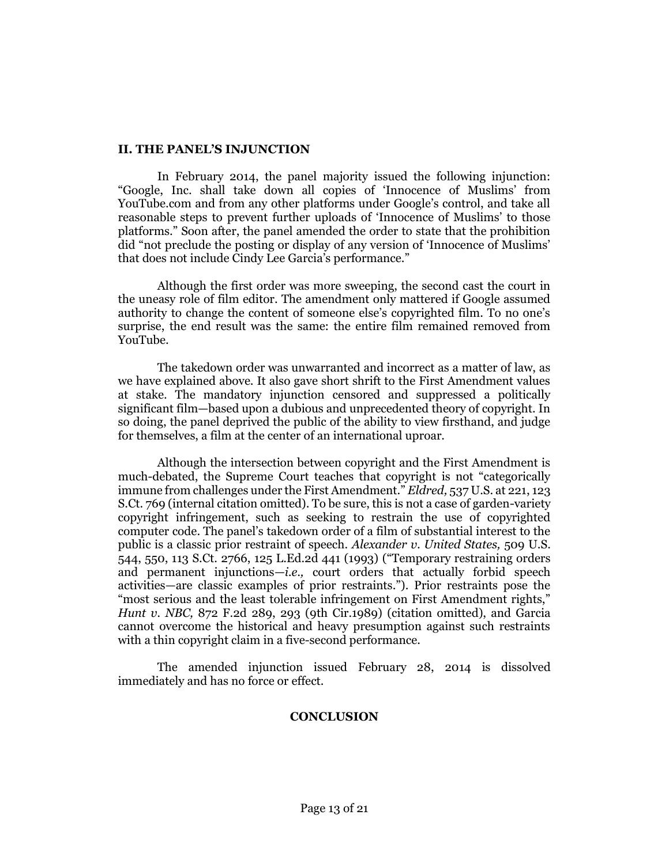## **II. THE PANEL'S INJUNCTION**

In February 2014, the panel majority issued the following injunction: "Google, Inc. shall take down all copies of 'Innocence of Muslims' from YouTube.com and from any other platforms under Google's control, and take all reasonable steps to prevent further uploads of 'Innocence of Muslims' to those platforms." Soon after, the panel amended the order to state that the prohibition did "not preclude the posting or display of any version of 'Innocence of Muslims' that does not include Cindy Lee Garcia's performance."

Although the first order was more sweeping, the second cast the court in the uneasy role of film editor. The amendment only mattered if Google assumed authority to change the content of someone else's copyrighted film. To no one's surprise, the end result was the same: the entire film remained removed from YouTube.

The takedown order was unwarranted and incorrect as a matter of law, as we have explained above. It also gave short shrift to the First Amendment values at stake. The mandatory injunction censored and suppressed a politically significant film—based upon a dubious and unprecedented theory of copyright. In so doing, the panel deprived the public of the ability to view firsthand, and judge for themselves, a film at the center of an international uproar.

Although the intersection between copyright and the First Amendment is much-debated, the Supreme Court teaches that copyright is not "categorically immune from challenges under the First Amendment." *Eldred,* [537 U.S. at 221, 123](http://www.westlaw.com/Link/Document/FullText?findType=Y&serNum=2003078650&pubNum=0000708&originatingDoc=I51ce6ec9fd5811e4b86bd602cb8781fa&refType=RP&originationContext=document&vr=3.0&rs=cblt1.0&transitionType=DocumentItem&contextData=(sc.Search))  [S.Ct. 769](http://www.westlaw.com/Link/Document/FullText?findType=Y&serNum=2003078650&pubNum=0000708&originatingDoc=I51ce6ec9fd5811e4b86bd602cb8781fa&refType=RP&originationContext=document&vr=3.0&rs=cblt1.0&transitionType=DocumentItem&contextData=(sc.Search)) (internal citation omitted). To be sure, this is not a case of garden-variety copyright infringement, such as seeking to restrain the use of copyrighted computer code. The panel's takedown order of a film of substantial interest to the public is a classic prior restraint of speech. *[Alexander v. United States,](http://www.westlaw.com/Link/Document/FullText?findType=Y&serNum=1993130693&pubNum=0000708&originatingDoc=I51ce6ec9fd5811e4b86bd602cb8781fa&refType=RP&originationContext=document&vr=3.0&rs=cblt1.0&transitionType=DocumentItem&contextData=(sc.Search))* 509 U.S. [544, 550, 113 S.Ct. 2766, 125 L.Ed.2d 441 \(1993\)](http://www.westlaw.com/Link/Document/FullText?findType=Y&serNum=1993130693&pubNum=0000708&originatingDoc=I51ce6ec9fd5811e4b86bd602cb8781fa&refType=RP&originationContext=document&vr=3.0&rs=cblt1.0&transitionType=DocumentItem&contextData=(sc.Search)) ("Temporary restraining orders and permanent injunctions—*i.e.,* court orders that actually forbid speech activities—are classic examples of prior restraints."). Prior restraints pose the "most serious and the least tolerable infringement on First Amendment rights," *Hunt v. NBC,* [872 F.2d 289, 293 \(9th Cir.1989\)](http://www.westlaw.com/Link/Document/FullText?findType=Y&serNum=1989048993&pubNum=0000350&originatingDoc=I51ce6ec9fd5811e4b86bd602cb8781fa&refType=RP&fi=co_pp_sp_350_293&originationContext=document&vr=3.0&rs=cblt1.0&transitionType=DocumentItem&contextData=(sc.Search)#co_pp_sp_350_293) (citation omitted), and Garcia cannot overcome the historical and heavy presumption against such restraints with a thin copyright claim in a five-second performance.

The amended injunction issued February 28, 2014 is dissolved immediately and has no force or effect.

# **CONCLUSION**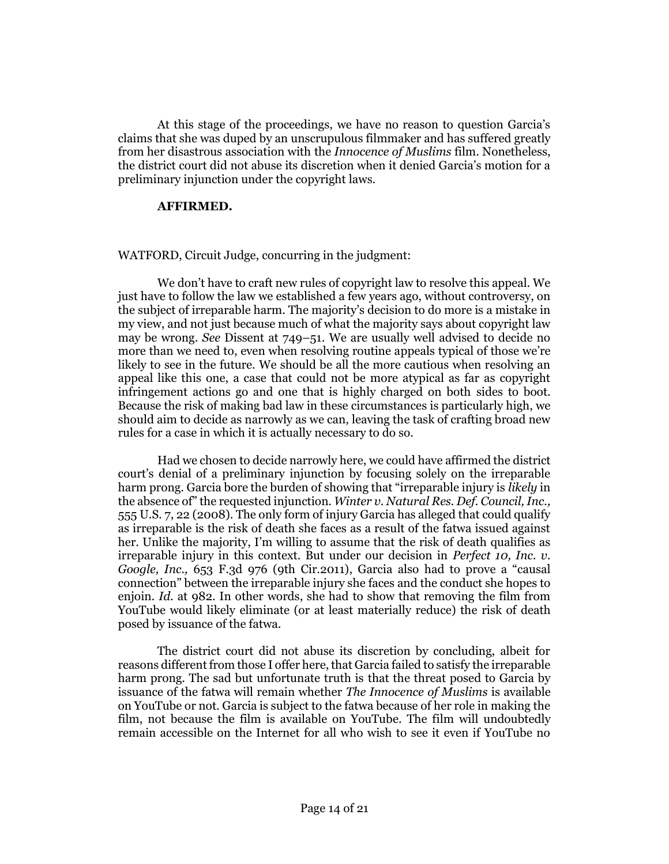At this stage of the proceedings, we have no reason to question Garcia's claims that she was duped by an unscrupulous filmmaker and has suffered greatly from her disastrous association with the *Innocence of Muslims* film. Nonetheless, the district court did not abuse its discretion when it denied Garcia's motion for a preliminary injunction under the copyright laws.

## **AFFIRMED.**

[WATFORD,](http://www.westlaw.com/Link/Document/FullText?findType=h&pubNum=176284&cite=0322080001&originatingDoc=I51ce6ec9fd5811e4b86bd602cb8781fa&refType=RQ&originationContext=document&vr=3.0&rs=cblt1.0&transitionType=DocumentItem&contextData=(sc.Search)) Circuit Judge, concurring in the judgment:

We don't have to craft new rules of copyright law to resolve this appeal. We just have to follow the law we established a few years ago, without controversy, on the subject of irreparable harm. The majority's decision to do more is a mistake in my view, and not just because much of what the majority says about copyright law may be wrong. *See* Dissent at 749–51. We are usually well advised to decide no more than we need to, even when resolving routine appeals typical of those we're likely to see in the future. We should be all the more cautious when resolving an appeal like this one, a case that could not be more atypical as far as copyright infringement actions go and one that is highly charged on both sides to boot. Because the risk of making bad law in these circumstances is particularly high, we should aim to decide as narrowly as we can, leaving the task of crafting broad new rules for a case in which it is actually necessary to do so.

Had we chosen to decide narrowly here, we could have affirmed the district court's denial of a preliminary injunction by focusing solely on the irreparable harm prong. Garcia bore the burden of showing that "irreparable injury is *likely* in the absence of" the requested injunction. *[Winter v. Natural Res. Def. Council, Inc.,](http://www.westlaw.com/Link/Document/FullText?findType=Y&serNum=2017439125&pubNum=0000708&originatingDoc=I51ce6ec9fd5811e4b86bd602cb8781fa&refType=RP&originationContext=document&vr=3.0&rs=cblt1.0&transitionType=DocumentItem&contextData=(sc.Search))* [555 U.S. 7, 22](http://www.westlaw.com/Link/Document/FullText?findType=Y&serNum=2017439125&pubNum=0000708&originatingDoc=I51ce6ec9fd5811e4b86bd602cb8781fa&refType=RP&originationContext=document&vr=3.0&rs=cblt1.0&transitionType=DocumentItem&contextData=(sc.Search)) (2008). The only form of injury Garcia has alleged that could qualify as irreparable is the risk of death she faces as a result of the fatwa issued against her. Unlike the majority, I'm willing to assume that the risk of death qualifies as irreparable injury in this context. But under our decision in *[Perfect 10, Inc. v.](http://www.westlaw.com/Link/Document/FullText?findType=Y&serNum=2025818509&pubNum=0000506&originatingDoc=I51ce6ec9fd5811e4b86bd602cb8781fa&refType=RP&originationContext=document&vr=3.0&rs=cblt1.0&transitionType=DocumentItem&contextData=(sc.Search))  Google, Inc.,* [653 F.3d 976 \(9th Cir.2011\)](http://www.westlaw.com/Link/Document/FullText?findType=Y&serNum=2025818509&pubNum=0000506&originatingDoc=I51ce6ec9fd5811e4b86bd602cb8781fa&refType=RP&originationContext=document&vr=3.0&rs=cblt1.0&transitionType=DocumentItem&contextData=(sc.Search)), Garcia also had to prove a "causal connection" between the irreparable injury she faces and the conduct she hopes to enjoin. *Id.* [at 982.](http://www.westlaw.com/Link/Document/FullText?findType=Y&serNum=2025818509&pubNum=0000506&originatingDoc=I51ce6ec9fd5811e4b86bd602cb8781fa&refType=RP&fi=co_pp_sp_506_982&originationContext=document&vr=3.0&rs=cblt1.0&transitionType=DocumentItem&contextData=(sc.Search)#co_pp_sp_506_982) In other words, she had to show that removing the film from YouTube would likely eliminate (or at least materially reduce) the risk of death posed by issuance of the fatwa.

The district court did not abuse its discretion by concluding, albeit for reasons different from those I offer here, that Garcia failed to satisfy the irreparable harm prong. The sad but unfortunate truth is that the threat posed to Garcia by issuance of the fatwa will remain whether *The Innocence of Muslims* is available on YouTube or not. Garcia is subject to the fatwa because of her role in making the film, not because the film is available on YouTube. The film will undoubtedly remain accessible on the Internet for all who wish to see it even if YouTube no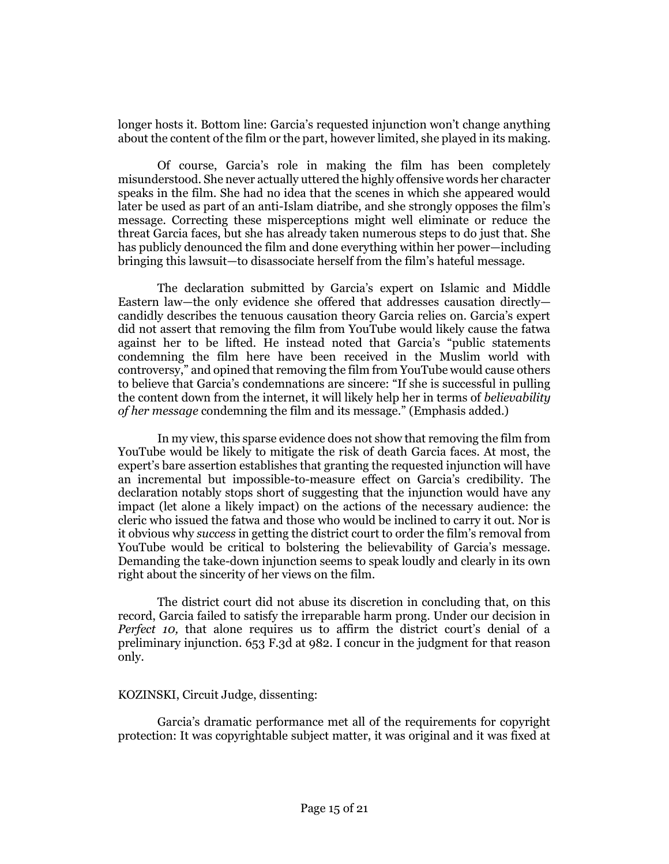longer hosts it. Bottom line: Garcia's requested injunction won't change anything about the content of the film or the part, however limited, she played in its making.

Of course, Garcia's role in making the film has been completely misunderstood. She never actually uttered the highly offensive words her character speaks in the film. She had no idea that the scenes in which she appeared would later be used as part of an anti-Islam diatribe, and she strongly opposes the film's message. Correcting these misperceptions might well eliminate or reduce the threat Garcia faces, but she has already taken numerous steps to do just that. She has publicly denounced the film and done everything within her power—including bringing this lawsuit—to disassociate herself from the film's hateful message.

The declaration submitted by Garcia's expert on Islamic and Middle Eastern law—the only evidence she offered that addresses causation directly candidly describes the tenuous causation theory Garcia relies on. Garcia's expert did not assert that removing the film from YouTube would likely cause the fatwa against her to be lifted. He instead noted that Garcia's "public statements condemning the film here have been received in the Muslim world with controversy," and opined that removing the film from YouTube would cause others to believe that Garcia's condemnations are sincere: "If she is successful in pulling the content down from the internet, it will likely help her in terms of *believability of her message* condemning the film and its message." (Emphasis added.)

In my view, this sparse evidence does not show that removing the film from YouTube would be likely to mitigate the risk of death Garcia faces. At most, the expert's bare assertion establishes that granting the requested injunction will have an incremental but impossible-to-measure effect on Garcia's credibility. The declaration notably stops short of suggesting that the injunction would have any impact (let alone a likely impact) on the actions of the necessary audience: the cleric who issued the fatwa and those who would be inclined to carry it out. Nor is it obvious why *success* in getting the district court to order the film's removal from YouTube would be critical to bolstering the believability of Garcia's message. Demanding the take-down injunction seems to speak loudly and clearly in its own right about the sincerity of her views on the film.

The district court did not abuse its discretion in concluding that, on this record, Garcia failed to satisfy the irreparable harm prong. Under our decision in *Perfect 10,* that alone requires us to affirm the district court's denial of a preliminary injunction. [653 F.3d at 982.](http://www.westlaw.com/Link/Document/FullText?findType=Y&serNum=2025818509&pubNum=0000506&originatingDoc=I51ce6ec9fd5811e4b86bd602cb8781fa&refType=RP&fi=co_pp_sp_506_982&originationContext=document&vr=3.0&rs=cblt1.0&transitionType=DocumentItem&contextData=(sc.Search)#co_pp_sp_506_982) I concur in the judgment for that reason only.

# [KOZINSKI,](http://www.westlaw.com/Link/Document/FullText?findType=h&pubNum=176284&cite=0152453101&originatingDoc=I51ce6ec9fd5811e4b86bd602cb8781fa&refType=RQ&originationContext=document&vr=3.0&rs=cblt1.0&transitionType=DocumentItem&contextData=(sc.Search)) Circuit Judge, dissenting:

Garcia's dramatic performance met all of the requirements for copyright protection: It was copyrightable subject matter, it was original and it was fixed at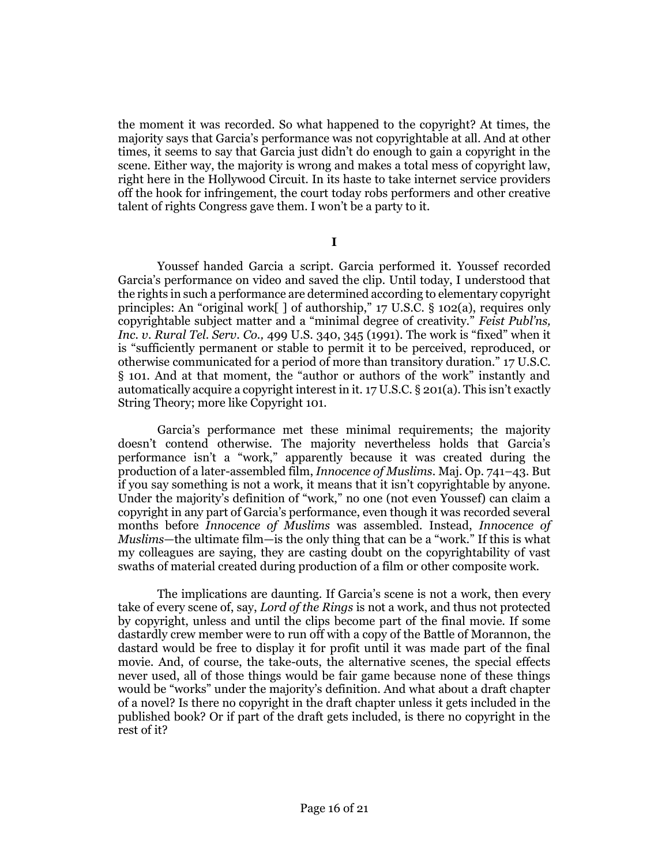the moment it was recorded. So what happened to the copyright? At times, the majority says that Garcia's performance was not copyrightable at all. And at other times, it seems to say that Garcia just didn't do enough to gain a copyright in the scene. Either way, the majority is wrong and makes a total mess of copyright law, right here in the Hollywood Circuit. In its haste to take internet service providers off the hook for infringement, the court today robs performers and other creative talent of rights Congress gave them. I won't be a party to it.

**I**

Youssef handed Garcia a script. Garcia performed it. Youssef recorded Garcia's performance on video and saved the clip. Until today, I understood that the rights in such a performance are determined according to elementary copyright principles: An "original work[ ] of authorship," [17 U.S.C. § 102\(a\),](http://www.westlaw.com/Link/Document/FullText?findType=L&pubNum=1000546&cite=17USCAS102&originatingDoc=I51ce6ec9fd5811e4b86bd602cb8781fa&refType=RB&originationContext=document&vr=3.0&rs=cblt1.0&transitionType=DocumentItem&contextData=(sc.Search)#co_pp_8b3b0000958a4) requires only copyrightable subject matter and a "minimal degree of creativity." *[Feist Publ'ns,](http://www.westlaw.com/Link/Document/FullText?findType=Y&serNum=1991060551&pubNum=0000708&originatingDoc=I51ce6ec9fd5811e4b86bd602cb8781fa&refType=RP&originationContext=document&vr=3.0&rs=cblt1.0&transitionType=DocumentItem&contextData=(sc.Search))  [Inc. v. Rural Tel. Serv. Co.,](http://www.westlaw.com/Link/Document/FullText?findType=Y&serNum=1991060551&pubNum=0000708&originatingDoc=I51ce6ec9fd5811e4b86bd602cb8781fa&refType=RP&originationContext=document&vr=3.0&rs=cblt1.0&transitionType=DocumentItem&contextData=(sc.Search))* 499 U.S. 340, 345 (1991). The work is "fixed" when it is "sufficiently permanent or stable to permit it to be perceived, reproduced, or otherwise communicated for a period of more than transitory duration." [17 U.S.C.](http://www.westlaw.com/Link/Document/FullText?findType=L&pubNum=1000546&cite=17USCAS101&originatingDoc=I51ce6ec9fd5811e4b86bd602cb8781fa&refType=LQ&originationContext=document&vr=3.0&rs=cblt1.0&transitionType=DocumentItem&contextData=(sc.Search))  [§ 101](http://www.westlaw.com/Link/Document/FullText?findType=L&pubNum=1000546&cite=17USCAS101&originatingDoc=I51ce6ec9fd5811e4b86bd602cb8781fa&refType=LQ&originationContext=document&vr=3.0&rs=cblt1.0&transitionType=DocumentItem&contextData=(sc.Search)). And at that moment, the "author or authors of the work" instantly and automatically acquire a copyright interest in it[. 17 U.S.C. § 201\(a\)](http://www.westlaw.com/Link/Document/FullText?findType=L&pubNum=1000546&cite=17USCAS201&originatingDoc=I51ce6ec9fd5811e4b86bd602cb8781fa&refType=RB&originationContext=document&vr=3.0&rs=cblt1.0&transitionType=DocumentItem&contextData=(sc.Search)#co_pp_8b3b0000958a4). This isn't exactly String Theory; more like Copyright 101.

Garcia's performance met these minimal requirements; the majority doesn't contend otherwise. The majority nevertheless holds that Garcia's performance isn't a "work," apparently because it was created during the production of a later-assembled film, *Innocence of Muslims.* Maj. Op. 741–43. But if you say something is not a work, it means that it isn't copyrightable by anyone. Under the majority's definition of "work," no one (not even Youssef) can claim a copyright in any part of Garcia's performance, even though it was recorded several months before *Innocence of Muslims* was assembled. Instead, *Innocence of Muslims*—the ultimate film—is the only thing that can be a "work." If this is what my colleagues are saying, they are casting doubt on the copyrightability of vast swaths of material created during production of a film or other composite work.

The implications are daunting. If Garcia's scene is not a work, then every take of every scene of, say, *Lord of the Rings* is not a work, and thus not protected by copyright, unless and until the clips become part of the final movie. If some dastardly crew member were to run off with a copy of the Battle of Morannon, the dastard would be free to display it for profit until it was made part of the final movie. And, of course, the take-outs, the alternative scenes, the special effects never used, all of those things would be fair game because none of these things would be "works" under the majority's definition. And what about a draft chapter of a novel? Is there no copyright in the draft chapter unless it gets included in the published book? Or if part of the draft gets included, is there no copyright in the rest of it?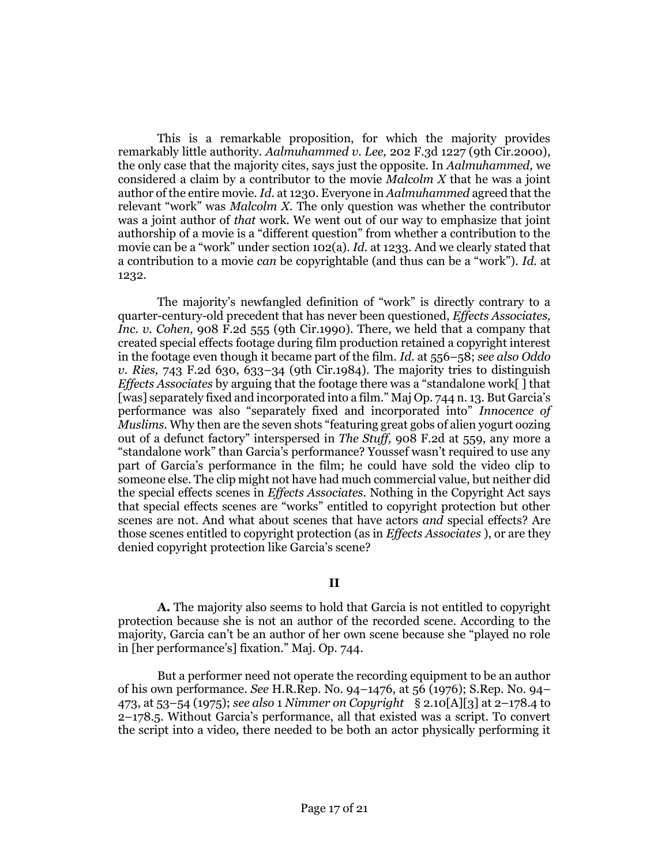This is a remarkable proposition, for which the majority provides remarkably little authority. *Aalmuhammed v. Lee,* [202 F.3d 1227 \(9th Cir.2000\),](http://www.westlaw.com/Link/Document/FullText?findType=Y&serNum=2000047327&pubNum=0000506&originatingDoc=I51ce6ec9fd5811e4b86bd602cb8781fa&refType=RP&originationContext=document&vr=3.0&rs=cblt1.0&transitionType=DocumentItem&contextData=(sc.Search)) the only case that the majority cites, says just the opposite. In *Aalmuhammed,* we considered a claim by a contributor to the movie *Malcolm X* that he was a joint author of the entire movie. *Id.* [at 1230.](http://www.westlaw.com/Link/Document/FullText?findType=Y&serNum=2000047327&pubNum=0000506&originatingDoc=I51ce6ec9fd5811e4b86bd602cb8781fa&refType=RP&fi=co_pp_sp_506_1230&originationContext=document&vr=3.0&rs=cblt1.0&transitionType=DocumentItem&contextData=(sc.Search)#co_pp_sp_506_1230) Everyone in *Aalmuhammed* agreed that the relevant "work" was *Malcolm X.* The only question was whether the contributor was a joint author of *that* work. We went out of our way to emphasize that joint authorship of a movie is a "different question" from whether a contribution to the movie can be a "work" under [section 102\(a\).](http://www.westlaw.com/Link/Document/FullText?findType=L&pubNum=1000546&cite=17USCAS102&originatingDoc=I51ce6ec9fd5811e4b86bd602cb8781fa&refType=RB&originationContext=document&vr=3.0&rs=cblt1.0&transitionType=DocumentItem&contextData=(sc.Search)#co_pp_8b3b0000958a4) *Id.* [at 1233.](http://www.westlaw.com/Link/Document/FullText?findType=Y&serNum=2000047327&pubNum=0000506&originatingDoc=I51ce6ec9fd5811e4b86bd602cb8781fa&refType=RP&fi=co_pp_sp_506_1233&originationContext=document&vr=3.0&rs=cblt1.0&transitionType=DocumentItem&contextData=(sc.Search)#co_pp_sp_506_1233) And we clearly stated that a contribution to a movie *can* be copyrightable (and thus can be a "work"). *[Id.](http://www.westlaw.com/Link/Document/FullText?findType=Y&serNum=2000047327&pubNum=0000506&originatingDoc=I51ce6ec9fd5811e4b86bd602cb8781fa&refType=RP&fi=co_pp_sp_506_1232&originationContext=document&vr=3.0&rs=cblt1.0&transitionType=DocumentItem&contextData=(sc.Search)#co_pp_sp_506_1232)* at [1232.](http://www.westlaw.com/Link/Document/FullText?findType=Y&serNum=2000047327&pubNum=0000506&originatingDoc=I51ce6ec9fd5811e4b86bd602cb8781fa&refType=RP&fi=co_pp_sp_506_1232&originationContext=document&vr=3.0&rs=cblt1.0&transitionType=DocumentItem&contextData=(sc.Search)#co_pp_sp_506_1232)

The majority's newfangled definition of "work" is directly contrary to a quarter-century-old precedent that has never been questioned, *[Effects Associates,](http://www.westlaw.com/Link/Document/FullText?findType=Y&serNum=1990110297&pubNum=0000350&originatingDoc=I51ce6ec9fd5811e4b86bd602cb8781fa&refType=RP&originationContext=document&vr=3.0&rs=cblt1.0&transitionType=DocumentItem&contextData=(sc.Search))  Inc. v. Cohen,* [908 F.2d 555 \(9th Cir.1990\).](http://www.westlaw.com/Link/Document/FullText?findType=Y&serNum=1990110297&pubNum=0000350&originatingDoc=I51ce6ec9fd5811e4b86bd602cb8781fa&refType=RP&originationContext=document&vr=3.0&rs=cblt1.0&transitionType=DocumentItem&contextData=(sc.Search)) There, we held that a company that created special effects footage during film production retained a copyright interest in the footage even though it became part of the film. *Id.* [at 556](http://www.westlaw.com/Link/Document/FullText?findType=Y&serNum=1990110297&pubNum=0000350&originatingDoc=I51ce6ec9fd5811e4b86bd602cb8781fa&refType=RP&fi=co_pp_sp_350_556&originationContext=document&vr=3.0&rs=cblt1.0&transitionType=DocumentItem&contextData=(sc.Search)#co_pp_sp_350_556)–58; *see also [Oddo](http://www.westlaw.com/Link/Document/FullText?findType=Y&serNum=1984130193&pubNum=0000350&originatingDoc=I51ce6ec9fd5811e4b86bd602cb8781fa&refType=RP&fi=co_pp_sp_350_633&originationContext=document&vr=3.0&rs=cblt1.0&transitionType=DocumentItem&contextData=(sc.Search)#co_pp_sp_350_633)  v. Ries,* [743 F.2d 630, 633](http://www.westlaw.com/Link/Document/FullText?findType=Y&serNum=1984130193&pubNum=0000350&originatingDoc=I51ce6ec9fd5811e4b86bd602cb8781fa&refType=RP&fi=co_pp_sp_350_633&originationContext=document&vr=3.0&rs=cblt1.0&transitionType=DocumentItem&contextData=(sc.Search)#co_pp_sp_350_633)–34 (9th Cir.1984). The majority tries to distinguish *Effects Associates* by arguing that the footage there was a "standalone work[ ] that [was] separately fixed and incorporated into a film." Maj Op. 744 n. 13. But Garcia's performance was also "separately fixed and incorporated into" *Innocence of Muslims.* Why then are the seven shots "featuring great gobs of alien yogurt oozing out of a defunct factory" interspersed in *The Stuff,* [908 F.2d at 559,](http://www.westlaw.com/Link/Document/FullText?findType=Y&serNum=1990110297&pubNum=0000350&originatingDoc=I51ce6ec9fd5811e4b86bd602cb8781fa&refType=RP&fi=co_pp_sp_350_559&originationContext=document&vr=3.0&rs=cblt1.0&transitionType=DocumentItem&contextData=(sc.Search)#co_pp_sp_350_559) any more a "standalone work" than Garcia's performance? Youssef wasn't required to use any part of Garcia's performance in the film; he could have sold the video clip to someone else. The clip might not have had much commercial value, but neither did the special effects scenes in *Effects Associates.* Nothing in the Copyright Act says that special effects scenes are "works" entitled to copyright protection but other scenes are not. And what about scenes that have actors *and* special effects? Are those scenes entitled to copyright protection (as in *Effects Associates* ), or are they denied copyright protection like Garcia's scene?

# **II**

**A.** The majority also seems to hold that Garcia is not entitled to copyright protection because she is not an author of the recorded scene. According to the majority, Garcia can't be an author of her own scene because she "played no role in [her performance's] fixation." Maj. Op. 744.

But a performer need not operate the recording equipment to be an author of his own performance. *See* [H.R.Rep. No. 94](http://www.westlaw.com/Link/Document/FullText?findType=Y&serNum=0100747631&pubNum=0100014&originatingDoc=I51ce6ec9fd5811e4b86bd602cb8781fa&refType=TV&originationContext=document&vr=3.0&rs=cblt1.0&transitionType=DocumentItem&contextData=(sc.Search))–1476, at 56 (1976); [S.Rep. No. 94](http://www.westlaw.com/Link/Document/FullText?findType=Y&pubNum=0001503&cite=SREP94-473&originatingDoc=I51ce6ec9fd5811e4b86bd602cb8781fa&refType=TV&originationContext=document&vr=3.0&rs=cblt1.0&transitionType=DocumentItem&contextData=(sc.Search))– [473, at 53](http://www.westlaw.com/Link/Document/FullText?findType=Y&pubNum=0001503&cite=SREP94-473&originatingDoc=I51ce6ec9fd5811e4b86bd602cb8781fa&refType=TV&originationContext=document&vr=3.0&rs=cblt1.0&transitionType=DocumentItem&contextData=(sc.Search))–54 (1975); *see also* 1 *Nimmer on Copyright* § 2.10[A][3] at 2–178.4 to 2–178.5. Without Garcia's performance, all that existed was a script. To convert the script into a video, there needed to be both an actor physically performing it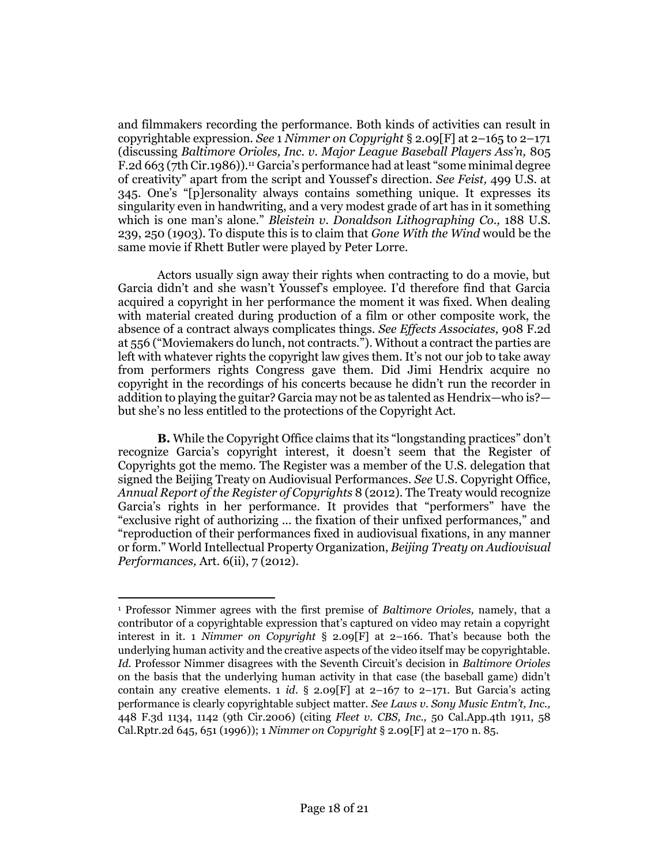and filmmakers recording the performance. Both kinds of activities can result in copyrightable expression. *See* 1 *Nimmer on Copyright* § 2.09[F] at 2–165 to 2–171 (discussing *[Baltimore Orioles, Inc. v. Major League Baseball Players Ass'n,](http://www.westlaw.com/Link/Document/FullText?findType=Y&serNum=1986154399&pubNum=0000350&originatingDoc=I51ce6ec9fd5811e4b86bd602cb8781fa&refType=RP&originationContext=document&vr=3.0&rs=cblt1.0&transitionType=DocumentItem&contextData=(sc.Search))* 805 [F.2d 663 \(7th Cir.1986\)\)](http://www.westlaw.com/Link/Document/FullText?findType=Y&serNum=1986154399&pubNum=0000350&originatingDoc=I51ce6ec9fd5811e4b86bd602cb8781fa&refType=RP&originationContext=document&vr=3.0&rs=cblt1.0&transitionType=DocumentItem&contextData=(sc.Search)).[11](#page-17-0) Garcia's performance had at least "some minimal degree of creativity" apart from the script and Youssef's direction. *See Feist,* [499 U.S. at](http://www.westlaw.com/Link/Document/FullText?findType=Y&serNum=1991060551&pubNum=0000708&originatingDoc=I51ce6ec9fd5811e4b86bd602cb8781fa&refType=RP&originationContext=document&vr=3.0&rs=cblt1.0&transitionType=DocumentItem&contextData=(sc.Search))  [345](http://www.westlaw.com/Link/Document/FullText?findType=Y&serNum=1991060551&pubNum=0000708&originatingDoc=I51ce6ec9fd5811e4b86bd602cb8781fa&refType=RP&originationContext=document&vr=3.0&rs=cblt1.0&transitionType=DocumentItem&contextData=(sc.Search)). One's "[p]ersonality always contains something unique. It expresses its singularity even in handwriting, and a very modest grade of art has in it something which is one man's alone." *[Bleistein v. Donaldson Lithographing Co.,](http://www.westlaw.com/Link/Document/FullText?findType=Y&serNum=1903100385&pubNum=0000708&originatingDoc=I51ce6ec9fd5811e4b86bd602cb8781fa&refType=RP&originationContext=document&vr=3.0&rs=cblt1.0&transitionType=DocumentItem&contextData=(sc.Search))* 188 U.S. [239, 250 \(1903\).](http://www.westlaw.com/Link/Document/FullText?findType=Y&serNum=1903100385&pubNum=0000708&originatingDoc=I51ce6ec9fd5811e4b86bd602cb8781fa&refType=RP&originationContext=document&vr=3.0&rs=cblt1.0&transitionType=DocumentItem&contextData=(sc.Search)) To dispute this is to claim that *Gone With the Wind* would be the same movie if Rhett Butler were played by Peter Lorre.

<span id="page-17-0"></span>Actors usually sign away their rights when contracting to do a movie, but Garcia didn't and she wasn't Youssef's employee. I'd therefore find that Garcia acquired a copyright in her performance the moment it was fixed. When dealing with material created during production of a film or other composite work, the absence of a contract always complicates things. *See [Effects Associates,](http://www.westlaw.com/Link/Document/FullText?findType=Y&serNum=1990110297&pubNum=0000350&originatingDoc=I51ce6ec9fd5811e4b86bd602cb8781fa&refType=RP&fi=co_pp_sp_350_556&originationContext=document&vr=3.0&rs=cblt1.0&transitionType=DocumentItem&contextData=(sc.Search)#co_pp_sp_350_556)* 908 F.2d [at 556](http://www.westlaw.com/Link/Document/FullText?findType=Y&serNum=1990110297&pubNum=0000350&originatingDoc=I51ce6ec9fd5811e4b86bd602cb8781fa&refType=RP&fi=co_pp_sp_350_556&originationContext=document&vr=3.0&rs=cblt1.0&transitionType=DocumentItem&contextData=(sc.Search)#co_pp_sp_350_556) ("Moviemakers do lunch, not contracts."). Without a contract the parties are left with whatever rights the copyright law gives them. It's not our job to take away from performers rights Congress gave them. Did Jimi Hendrix acquire no copyright in the recordings of his concerts because he didn't run the recorder in addition to playing the guitar? Garcia may not be as talented as Hendrix—who is? but she's no less entitled to the protections of the Copyright Act.

**B.** While the Copyright Office claims that its "longstanding practices" don't recognize Garcia's copyright interest, it doesn't seem that the Register of Copyrights got the memo. The Register was a member of the U.S. delegation that signed the Beijing Treaty on Audiovisual Performances. *See* U.S. Copyright Office, *Annual Report of the Register of Copyrights* 8 (2012). The Treaty would recognize Garcia's rights in her performance. It provides that "performers" have the "exclusive right of authorizing ... the fixation of their unfixed performances," and "reproduction of their performances fixed in audiovisual fixations, in any manner or form." World Intellectual Property Organization, *Beijing Treaty on Audiovisual Performances,* Art. 6(ii), 7 (2012).

 $\overline{a}$ <sup>1</sup> Professor Nimmer agrees with the first premise of *Baltimore Orioles,* namely, that a contributor of a copyrightable expression that's captured on video may retain a copyright interest in it. 1 *Nimmer on Copyright* § 2.09[F] at 2–166. That's because both the underlying human activity and the creative aspects of the video itself may be copyrightable. *Id.* Professor Nimmer disagrees with the Seventh Circuit's decision in *Baltimore Orioles* on the basis that the underlying human activity in that case (the baseball game) didn't contain any creative elements. 1 *id.* § 2.09 [F] at  $2-167$  to  $2-171$ . But Garcia's acting performance is clearly copyrightable subject matter. *See Law[s v. Sony Music Entm't, Inc.,](http://www.westlaw.com/Link/Document/FullText?findType=Y&serNum=2009215594&pubNum=0000506&originatingDoc=I51ce6ec9fd5811e4b86bd602cb8781fa&refType=RP&fi=co_pp_sp_506_1142&originationContext=document&vr=3.0&rs=cblt1.0&transitionType=DocumentItem&contextData=(sc.Search)#co_pp_sp_506_1142)* [448 F.3d 1134, 1142 \(9th Cir.2006\)](http://www.westlaw.com/Link/Document/FullText?findType=Y&serNum=2009215594&pubNum=0000506&originatingDoc=I51ce6ec9fd5811e4b86bd602cb8781fa&refType=RP&fi=co_pp_sp_506_1142&originationContext=document&vr=3.0&rs=cblt1.0&transitionType=DocumentItem&contextData=(sc.Search)#co_pp_sp_506_1142) (citing *Fleet v. CBS, Inc.,* [50 Cal.App.4th 1911, 58](http://www.westlaw.com/Link/Document/FullText?findType=Y&serNum=1996263747&pubNum=0003484&originatingDoc=I51ce6ec9fd5811e4b86bd602cb8781fa&refType=RP&fi=co_pp_sp_3484_651&originationContext=document&vr=3.0&rs=cblt1.0&transitionType=DocumentItem&contextData=(sc.Search)#co_pp_sp_3484_651)  [Cal.Rptr.2d 645, 651 \(1996\)\)](http://www.westlaw.com/Link/Document/FullText?findType=Y&serNum=1996263747&pubNum=0003484&originatingDoc=I51ce6ec9fd5811e4b86bd602cb8781fa&refType=RP&fi=co_pp_sp_3484_651&originationContext=document&vr=3.0&rs=cblt1.0&transitionType=DocumentItem&contextData=(sc.Search)#co_pp_sp_3484_651); 1 *Nimmer on Copyright* § 2.09[F] at 2–170 n. 85.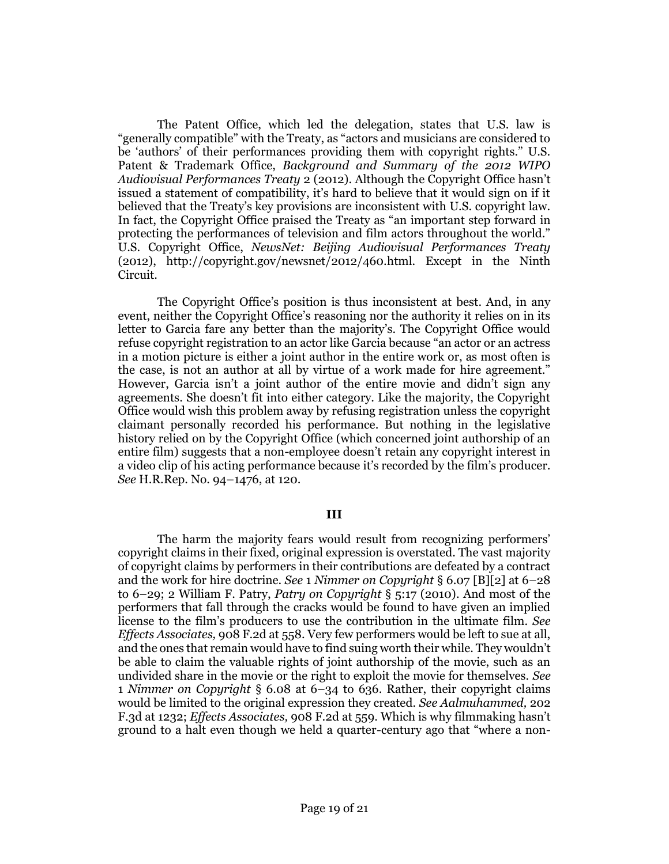The Patent Office, which led the delegation, states that U.S. law is "generally compatible" with the Treaty, as "actors and musicians are considered to be 'authors' of their performances providing them with copyright rights." U.S. Patent & Trademark Office, *Background and Summary of the 2012 WIPO Audiovisual Performances Treaty* 2 (2012). Although the Copyright Office hasn't issued a statement of compatibility, it's hard to believe that it would sign on if it believed that the Treaty's key provisions are inconsistent with U.S. copyright law. In fact, the Copyright Office praised the Treaty as "an important step forward in protecting the performances of television and film actors throughout the world." U.S. Copyright Office, *NewsNet: Beijing Audiovisual Performances Treaty* (2012), http://copyright.gov/newsnet/2012/460.html. Except in the Ninth Circuit.

The Copyright Office's position is thus inconsistent at best. And, in any event, neither the Copyright Office's reasoning nor the authority it relies on in its letter to Garcia fare any better than the majority's. The Copyright Office would refuse copyright registration to an actor like Garcia because "an actor or an actress in a motion picture is either a joint author in the entire work or, as most often is the case, is not an author at all by virtue of a work made for hire agreement." However, Garcia isn't a joint author of the entire movie and didn't sign any agreements. She doesn't fit into either category. Like the majority, the Copyright Office would wish this problem away by refusing registration unless the copyright claimant personally recorded his performance. But nothing in the legislative history relied on by the Copyright Office (which concerned joint authorship of an entire film) suggests that a non-employee doesn't retain any copyright interest in a video clip of his acting performance because it's recorded by the film's producer. *See* [H.R.Rep. No. 94](http://www.westlaw.com/Link/Document/FullText?findType=Y&serNum=0100747631&pubNum=0100014&originatingDoc=I51ce6ec9fd5811e4b86bd602cb8781fa&refType=TV&originationContext=document&vr=3.0&rs=cblt1.0&transitionType=DocumentItem&contextData=(sc.Search))–1476, at 120.

### **III**

The harm the majority fears would result from recognizing performers' copyright claims in their fixed, original expression is overstated. The vast majority of copyright claims by performers in their contributions are defeated by a contract and the work for hire doctrine. *See* 1 *Nimmer on Copyright* § 6.07 [B][2] at 6–28 to 6–29; 2 William F. Patry, *[Patry on Copyright](http://www.westlaw.com/Link/Document/FullText?findType=Y&serNum=0329604896&pubNum=0196399&originatingDoc=I51ce6ec9fd5811e4b86bd602cb8781fa&refType=TS&originationContext=document&vr=3.0&rs=cblt1.0&transitionType=DocumentItem&contextData=(sc.Search))* § 5:17 (2010). And most of the performers that fall through the cracks would be found to have given an implied license to the film's producers to use the contribution in the ultimate film. *See [Effects Associates,](http://www.westlaw.com/Link/Document/FullText?findType=Y&serNum=1990110297&pubNum=0000350&originatingDoc=I51ce6ec9fd5811e4b86bd602cb8781fa&refType=RP&fi=co_pp_sp_350_558&originationContext=document&vr=3.0&rs=cblt1.0&transitionType=DocumentItem&contextData=(sc.Search)#co_pp_sp_350_558)* 908 F.2d at 558. Very few performers would be left to sue at all, and the ones that remain would have to find suing worth their while. They wouldn't be able to claim the valuable rights of joint authorship of the movie, such as an undivided share in the movie or the right to exploit the movie for themselves. *See* 1 *Nimmer on Copyright* § 6.08 at 6–34 to 636. Rather, their copyright claims would be limited to the original expression they created. *See [Aalmuhammed,](http://www.westlaw.com/Link/Document/FullText?findType=Y&serNum=2000047327&pubNum=0000506&originatingDoc=I51ce6ec9fd5811e4b86bd602cb8781fa&refType=RP&fi=co_pp_sp_506_1232&originationContext=document&vr=3.0&rs=cblt1.0&transitionType=DocumentItem&contextData=(sc.Search)#co_pp_sp_506_1232)* 202 [F.3d at 1232;](http://www.westlaw.com/Link/Document/FullText?findType=Y&serNum=2000047327&pubNum=0000506&originatingDoc=I51ce6ec9fd5811e4b86bd602cb8781fa&refType=RP&fi=co_pp_sp_506_1232&originationContext=document&vr=3.0&rs=cblt1.0&transitionType=DocumentItem&contextData=(sc.Search)#co_pp_sp_506_1232) *[Effects Associates,](http://www.westlaw.com/Link/Document/FullText?findType=Y&serNum=1990110297&pubNum=0000350&originatingDoc=I51ce6ec9fd5811e4b86bd602cb8781fa&refType=RP&fi=co_pp_sp_350_559&originationContext=document&vr=3.0&rs=cblt1.0&transitionType=DocumentItem&contextData=(sc.Search)#co_pp_sp_350_559)* 908 F.2d at 559. Which is why filmmaking hasn't ground to a halt even though we held a quarter-century ago that "where a non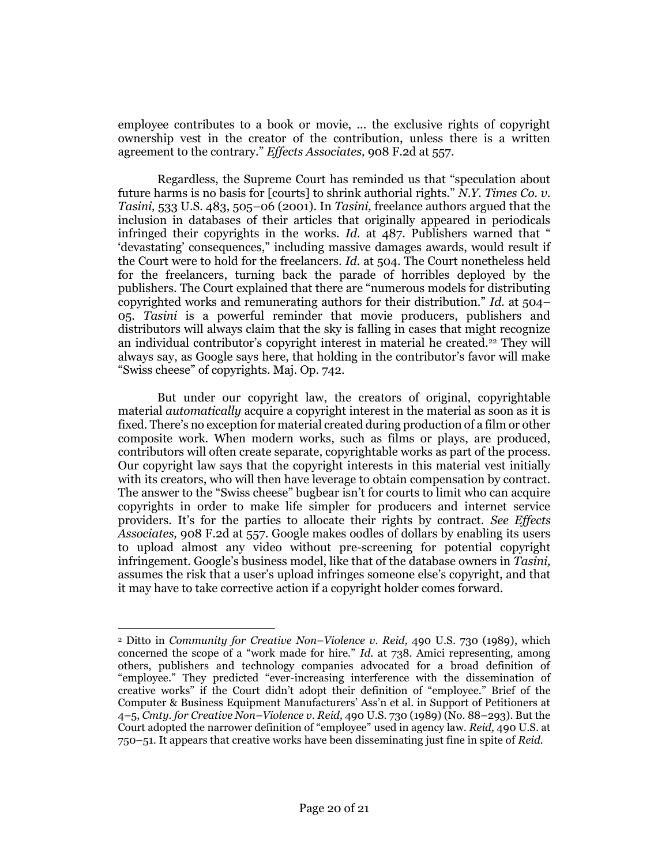employee contributes to a book or movie, ... the exclusive rights of copyright ownership vest in the creator of the contribution, unless there is a written agreement to the contrary." *[Effects Associates,](http://www.westlaw.com/Link/Document/FullText?findType=Y&serNum=1990110297&pubNum=0000350&originatingDoc=I51ce6ec9fd5811e4b86bd602cb8781fa&refType=RP&fi=co_pp_sp_350_557&originationContext=document&vr=3.0&rs=cblt1.0&transitionType=DocumentItem&contextData=(sc.Search)#co_pp_sp_350_557)* 908 F.2d at 557.

Regardless, the Supreme Court has reminded us that "speculation about future harms is no basis for [courts] to shrink authorial rights." *[N.Y. Times Co. v.](http://www.westlaw.com/Link/Document/FullText?findType=Y&serNum=2001536094&pubNum=0000708&originatingDoc=I51ce6ec9fd5811e4b86bd602cb8781fa&refType=RP&originationContext=document&vr=3.0&rs=cblt1.0&transitionType=DocumentItem&contextData=(sc.Search))  Tasini,* [533 U.S. 483, 505](http://www.westlaw.com/Link/Document/FullText?findType=Y&serNum=2001536094&pubNum=0000708&originatingDoc=I51ce6ec9fd5811e4b86bd602cb8781fa&refType=RP&originationContext=document&vr=3.0&rs=cblt1.0&transitionType=DocumentItem&contextData=(sc.Search))–06 (2001). In *Tasini,* freelance authors argued that the inclusion in databases of their articles that originally appeared in periodicals infringed their copyrights in the works. *Id.* [at 487.](http://www.westlaw.com/Link/Document/FullText?findType=Y&serNum=2001536094&pubNum=0000708&originatingDoc=I51ce6ec9fd5811e4b86bd602cb8781fa&refType=RP&originationContext=document&vr=3.0&rs=cblt1.0&transitionType=DocumentItem&contextData=(sc.Search)) Publishers warned that " 'devastating' consequences," including massive damages awards, would result if the Court were to hold for the freelancers. *Id.* [at 504.](http://www.westlaw.com/Link/Document/FullText?findType=Y&serNum=2001536094&pubNum=0000708&originatingDoc=I51ce6ec9fd5811e4b86bd602cb8781fa&refType=RP&originationContext=document&vr=3.0&rs=cblt1.0&transitionType=DocumentItem&contextData=(sc.Search)) The Court nonetheless held for the freelancers, turning back the parade of horribles deployed by the publishers. The Court explained that there are "numerous models for distributing copyrighted works and remunerating authors for their distribution." *Id.* [at 504](http://www.westlaw.com/Link/Document/FullText?findType=Y&serNum=2001536094&pubNum=0000708&originatingDoc=I51ce6ec9fd5811e4b86bd602cb8781fa&refType=RP&originationContext=document&vr=3.0&rs=cblt1.0&transitionType=DocumentItem&contextData=(sc.Search))– [05.](http://www.westlaw.com/Link/Document/FullText?findType=Y&serNum=2001536094&pubNum=0000708&originatingDoc=I51ce6ec9fd5811e4b86bd602cb8781fa&refType=RP&originationContext=document&vr=3.0&rs=cblt1.0&transitionType=DocumentItem&contextData=(sc.Search)) *Tasini* is a powerful reminder that movie producers, publishers and distributors will always claim that the sky is falling in cases that might recognize an individual contributor's copyright interest in material he created.[22](#page-19-0) They will always say, as Google says here, that holding in the contributor's favor will make "Swiss cheese" of copyrights. Maj. Op. 742.

<span id="page-19-0"></span>But under our copyright law, the creators of original, copyrightable material *automatically* acquire a copyright interest in the material as soon as it is fixed. There's no exception for material created during production of a film or other composite work. When modern works, such as films or plays, are produced, contributors will often create separate, copyrightable works as part of the process. Our copyright law says that the copyright interests in this material vest initially with its creators, who will then have leverage to obtain compensation by contract. The answer to the "Swiss cheese" bugbear isn't for courts to limit who can acquire copyrights in order to make life simpler for producers and internet service providers. It's for the parties to allocate their rights by contract. *See [Effects](http://www.westlaw.com/Link/Document/FullText?findType=Y&serNum=1990110297&pubNum=0000350&originatingDoc=I51ce6ec9fd5811e4b86bd602cb8781fa&refType=RP&fi=co_pp_sp_350_557&originationContext=document&vr=3.0&rs=cblt1.0&transitionType=DocumentItem&contextData=(sc.Search)#co_pp_sp_350_557)  Associates,* [908 F.2d at 557.](http://www.westlaw.com/Link/Document/FullText?findType=Y&serNum=1990110297&pubNum=0000350&originatingDoc=I51ce6ec9fd5811e4b86bd602cb8781fa&refType=RP&fi=co_pp_sp_350_557&originationContext=document&vr=3.0&rs=cblt1.0&transitionType=DocumentItem&contextData=(sc.Search)#co_pp_sp_350_557) Google makes oodles of dollars by enabling its users to upload almost any video without pre-screening for potential copyright infringement. Google's business model, like that of the database owners in *Tasini,* assumes the risk that a user's upload infringes someone else's copyright, and that it may have to take corrective action if a copyright holder comes forward.

 $\overline{\phantom{a}}$ 

<sup>2</sup> Ditto in *[Community for Creative Non](http://www.westlaw.com/Link/Document/FullText?findType=Y&serNum=1989082504&pubNum=0000708&originatingDoc=I51ce6ec9fd5811e4b86bd602cb8781fa&refType=RP&originationContext=document&vr=3.0&rs=cblt1.0&transitionType=DocumentItem&contextData=(sc.Search))–Violence v. Reid,* 490 U.S. 730 (1989), which concerned the scope of a "work made for hire." *Id.* [at 738.](http://www.westlaw.com/Link/Document/FullText?findType=Y&serNum=1989082504&pubNum=0000708&originatingDoc=I51ce6ec9fd5811e4b86bd602cb8781fa&refType=RP&originationContext=document&vr=3.0&rs=cblt1.0&transitionType=DocumentItem&contextData=(sc.Search)) Amici representing, among others, publishers and technology companies advocated for a broad definition of "employee." They predicted "ever-increasing interference with the dissemination of creative works" if the Court didn't adopt their definition of "employee." Brief of the Computer & Business Equipment Manufacturers' Ass'n et al. in Support of Petitioners at 4–5, *[Cmty. for Creative Non](http://www.westlaw.com/Link/Document/FullText?findType=Y&serNum=1989082504&pubNum=0000708&originatingDoc=I51ce6ec9fd5811e4b86bd602cb8781fa&refType=RP&originationContext=document&vr=3.0&rs=cblt1.0&transitionType=DocumentItem&contextData=(sc.Search))–Violence v. Reid,* 490 U.S. 730 (1989) (No. 88–293). But the Court adopted the narrower definition of "employee" used in agency law. *Reid,* [490 U.S. at](http://www.westlaw.com/Link/Document/FullText?findType=Y&serNum=1989082504&pubNum=0000708&originatingDoc=I51ce6ec9fd5811e4b86bd602cb8781fa&refType=RP&originationContext=document&vr=3.0&rs=cblt1.0&transitionType=DocumentItem&contextData=(sc.Search))  [750](http://www.westlaw.com/Link/Document/FullText?findType=Y&serNum=1989082504&pubNum=0000708&originatingDoc=I51ce6ec9fd5811e4b86bd602cb8781fa&refType=RP&originationContext=document&vr=3.0&rs=cblt1.0&transitionType=DocumentItem&contextData=(sc.Search))–51. It appears that creative works have been disseminating just fine in spite of *Reid.*